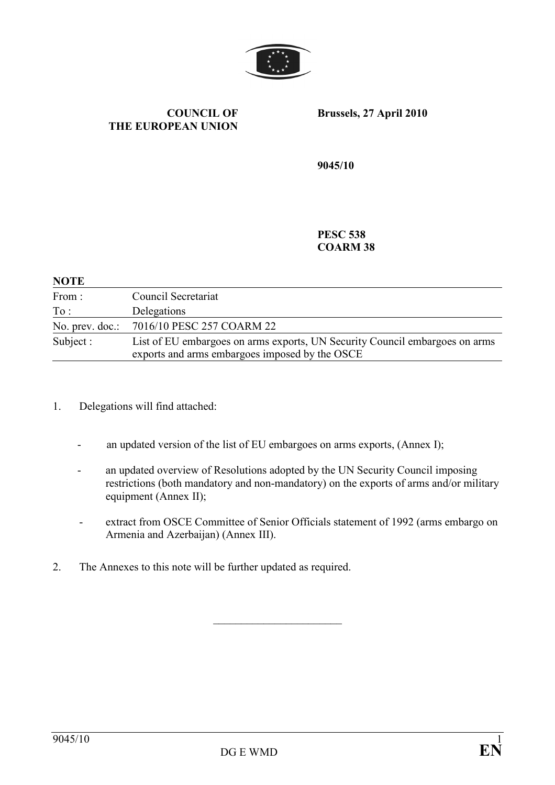

#### COUNCIL OF THE EUROPEAN UNION

Brussels, 27 April 2010

9045/10

PESC 538 COARM 38

#### **NOTE**

| From:           | Council Secretariat                                                                                                           |
|-----------------|-------------------------------------------------------------------------------------------------------------------------------|
| To:             | Delegations                                                                                                                   |
| No. prev. doc.: | 7016/10 PESC 257 COARM 22                                                                                                     |
| Subject :       | List of EU embargoes on arms exports, UN Security Council embargoes on arms<br>exports and arms embargoes imposed by the OSCE |

- 1. Delegations will find attached:
	- an updated version of the list of EU embargoes on arms exports, (Annex I);
	- an updated overview of Resolutions adopted by the UN Security Council imposing restrictions (both mandatory and non-mandatory) on the exports of arms and/or military equipment (Annex II);
	- extract from OSCE Committee of Senior Officials statement of 1992 (arms embargo on Armenia and Azerbaijan) (Annex III).

\_\_\_\_\_\_\_\_\_\_\_\_\_\_\_\_\_\_\_\_\_\_\_

2. The Annexes to this note will be further updated as required.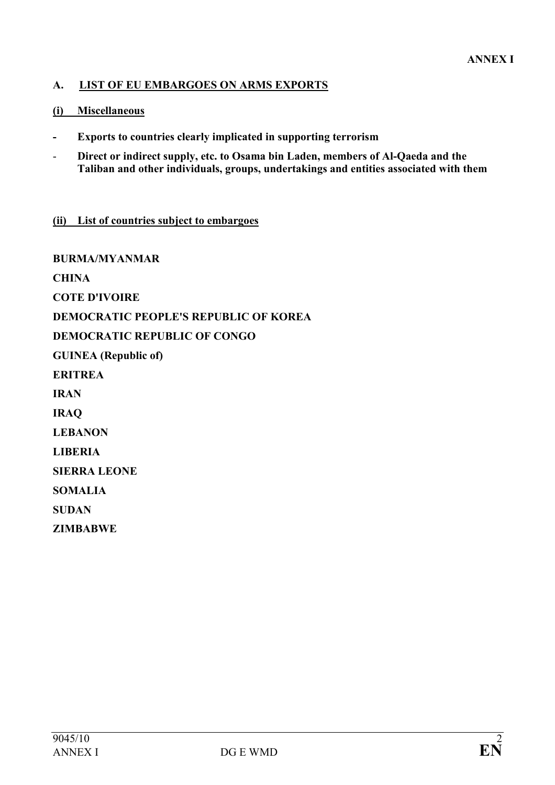## A. LIST OF EU EMBARGOES ON ARMS EXPORTS

#### (i) Miscellaneous

- Exports to countries clearly implicated in supporting terrorism
- Direct or indirect supply, etc. to Osama bin Laden, members of Al-Qaeda and the Taliban and other individuals, groups, undertakings and entities associated with them

#### (ii) List of countries subject to embargoes

BURMA/MYANMAR **CHINA** COTE D'IVOIRE DEMOCRATIC PEOPLE'S REPUBLIC OF KOREA DEMOCRATIC REPUBLIC OF CONGO GUINEA (Republic of) ERITREA IRAN IRAQ LEBANON LIBERIA SIERRA LEONE SOMALIA **SUDAN** ZIMBABWE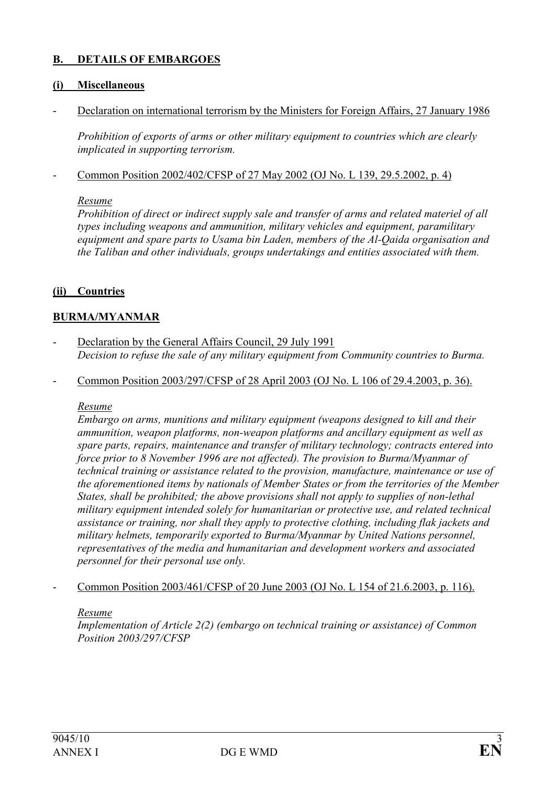### B. DETAILS OF EMBARGOES

#### (i) Miscellaneous

Declaration on international terrorism by the Ministers for Foreign Affairs, 27 January 1986

 Prohibition of exports of arms or other military equipment to countries which are clearly implicated in supporting terrorism.

- Common Position 2002/402/CFSP of 27 May 2002 (OJ No. L 139, 29.5.2002, p. 4)

#### Resume

Prohibition of direct or indirect supply sale and transfer of arms and related materiel of all types including weapons and ammunition, military vehicles and equipment, paramilitary equipment and spare parts to Usama bin Laden, members of the Al-Qaida organisation and the Taliban and other individuals, groups undertakings and entities associated with them.

#### (ii) Countries

#### BURMA/MYANMAR

- Declaration by the General Affairs Council, 29 July 1991 Decision to refuse the sale of any military equipment from Community countries to Burma.
- Common Position 2003/297/CFSP of 28 April 2003 (OJ No. L 106 of 29.4.2003, p. 36).

#### Resume

Embargo on arms, munitions and military equipment (weapons designed to kill and their ammunition, weapon platforms, non-weapon platforms and ancillary equipment as well as spare parts, repairs, maintenance and transfer of military technology; contracts entered into force prior to 8 November 1996 are not affected). The provision to Burma/Myanmar of technical training or assistance related to the provision, manufacture, maintenance or use of the aforementioned items by nationals of Member States or from the territories of the Member States, shall be prohibited; the above provisions shall not apply to supplies of non-lethal military equipment intended solely for humanitarian or protective use, and related technical assistance or training, nor shall they apply to protective clothing, including flak jackets and military helmets, temporarily exported to Burma/Myanmar by United Nations personnel, representatives of the media and humanitarian and development workers and associated personnel for their personal use only.

- Common Position 2003/461/CFSP of 20 June 2003 (OJ No. L 154 of 21.6.2003, p. 116).

#### Resume

Implementation of Article 2(2) (embargo on technical training or assistance) of Common Position 2003/297/CFSP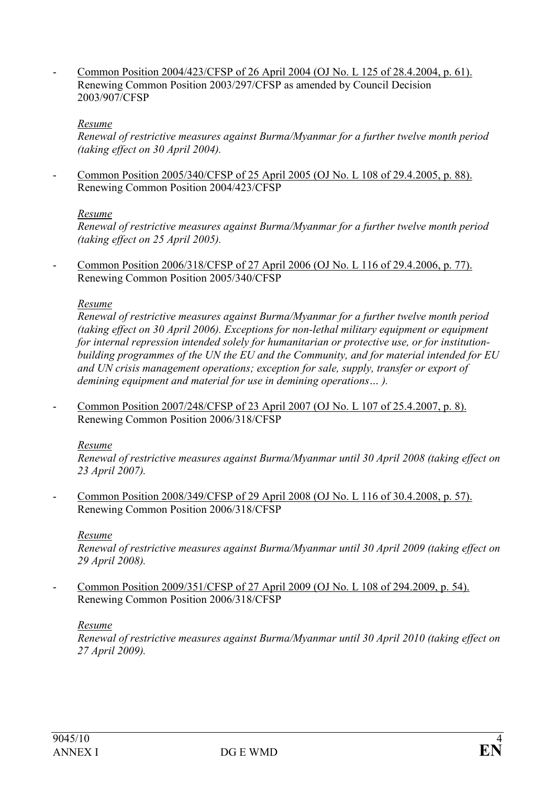- Common Position 2004/423/CFSP of 26 April 2004 (OJ No. L 125 of 28.4.2004, p. 61). Renewing Common Position 2003/297/CFSP as amended by Council Decision 2003/907/CFSP

#### Resume

Renewal of restrictive measures against Burma/Myanmar for a further twelve month period (taking effect on 30 April 2004).

- Common Position 2005/340/CFSP of 25 April 2005 (OJ No. L 108 of 29.4.2005, p. 88). Renewing Common Position 2004/423/CFSP

#### Resume

Renewal of restrictive measures against Burma/Myanmar for a further twelve month period (taking effect on 25 April 2005).

- Common Position 2006/318/CFSP of 27 April 2006 (OJ No. L 116 of 29.4.2006, p. 77). Renewing Common Position 2005/340/CFSP

#### Resume

Renewal of restrictive measures against Burma/Myanmar for a further twelve month period (taking effect on 30 April 2006). Exceptions for non-lethal military equipment or equipment for internal repression intended solely for humanitarian or protective use, or for institutionbuilding programmes of the UN the EU and the Community, and for material intended for EU and UN crisis management operations; exception for sale, supply, transfer or export of demining equipment and material for use in demining operations… ).

- Common Position 2007/248/CFSP of 23 April 2007 (OJ No. L 107 of 25.4.2007, p. 8). Renewing Common Position 2006/318/CFSP

#### Resume

Renewal of restrictive measures against Burma/Myanmar until 30 April 2008 (taking effect on 23 April 2007).

Common Position 2008/349/CFSP of 29 April 2008 (OJ No. L 116 of 30.4.2008, p. 57). Renewing Common Position 2006/318/CFSP

#### Resume

Renewal of restrictive measures against Burma/Myanmar until 30 April 2009 (taking effect on 29 April 2008).

- Common Position 2009/351/CFSP of 27 April 2009 (OJ No. L 108 of 294.2009, p. 54). Renewing Common Position 2006/318/CFSP

### Resume

Renewal of restrictive measures against Burma/Myanmar until 30 April 2010 (taking effect on 27 April 2009).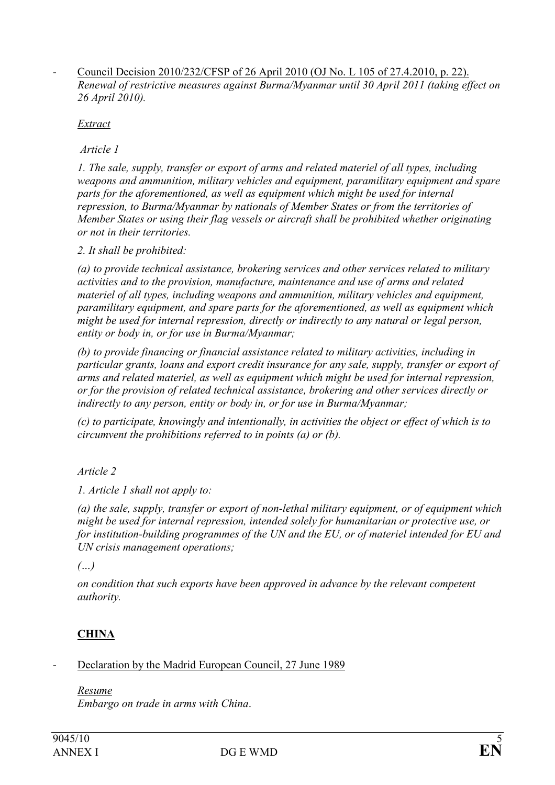- Council Decision 2010/232/CFSP of 26 April 2010 (OJ No. L 105 of 27.4.2010, p. 22). Renewal of restrictive measures against Burma/Myanmar until 30 April 2011 (taking effect on 26 April 2010).

Extract

Article 1

1. The sale, supply, transfer or export of arms and related materiel of all types, including weapons and ammunition, military vehicles and equipment, paramilitary equipment and spare parts for the aforementioned, as well as equipment which might be used for internal repression, to Burma/Myanmar by nationals of Member States or from the territories of Member States or using their flag vessels or aircraft shall be prohibited whether originating or not in their territories.

2. It shall be prohibited:

(a) to provide technical assistance, brokering services and other services related to military activities and to the provision, manufacture, maintenance and use of arms and related materiel of all types, including weapons and ammunition, military vehicles and equipment, paramilitary equipment, and spare parts for the aforementioned, as well as equipment which might be used for internal repression, directly or indirectly to any natural or legal person, entity or body in, or for use in Burma/Myanmar;

(b) to provide financing or financial assistance related to military activities, including in particular grants, loans and export credit insurance for any sale, supply, transfer or export of arms and related materiel, as well as equipment which might be used for internal repression, or for the provision of related technical assistance, brokering and other services directly or indirectly to any person, entity or body in, or for use in Burma/Myanmar;

(c) to participate, knowingly and intentionally, in activities the object or effect of which is to circumvent the prohibitions referred to in points (a) or (b).

Article 2

1. Article 1 shall not apply to:

(a) the sale, supply, transfer or export of non-lethal military equipment, or of equipment which might be used for internal repression, intended solely for humanitarian or protective use, or for institution-building programmes of the UN and the EU, or of materiel intended for EU and UN crisis management operations;

 $(\ldots)$ 

on condition that such exports have been approved in advance by the relevant competent authority.

# **CHINA**

Declaration by the Madrid European Council, 27 June 1989

Resume

Embargo on trade in arms with China.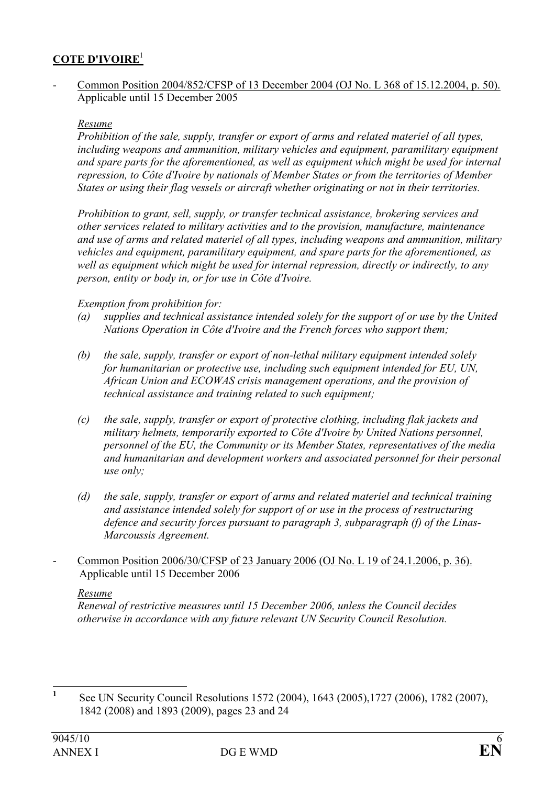### COTE D'IVOIRE<sup>1</sup>

- Common Position 2004/852/CFSP of 13 December 2004 (OJ No. L 368 of 15.12.2004, p. 50). Applicable until 15 December 2005

#### Resume

Prohibition of the sale, supply, transfer or export of arms and related materiel of all types, including weapons and ammunition, military vehicles and equipment, paramilitary equipment and spare parts for the aforementioned, as well as equipment which might be used for internal repression, to Côte d'Ivoire by nationals of Member States or from the territories of Member States or using their flag vessels or aircraft whether originating or not in their territories.

Prohibition to grant, sell, supply, or transfer technical assistance, brokering services and other services related to military activities and to the provision, manufacture, maintenance and use of arms and related materiel of all types, including weapons and ammunition, military vehicles and equipment, paramilitary equipment, and spare parts for the aforementioned, as well as equipment which might be used for internal repression, directly or indirectly, to any person, entity or body in, or for use in Côte d'Ivoire.

### Exemption from prohibition for:

- (a) supplies and technical assistance intended solely for the support of or use by the United Nations Operation in Côte d'Ivoire and the French forces who support them;
- (b) the sale, supply, transfer or export of non-lethal military equipment intended solely for humanitarian or protective use, including such equipment intended for EU, UN, African Union and ECOWAS crisis management operations, and the provision of technical assistance and training related to such equipment;
- (c) the sale, supply, transfer or export of protective clothing, including flak jackets and military helmets, temporarily exported to Côte d'Ivoire by United Nations personnel, personnel of the EU, the Community or its Member States, representatives of the media and humanitarian and development workers and associated personnel for their personal use only;
- (d) the sale, supply, transfer or export of arms and related materiel and technical training and assistance intended solely for support of or use in the process of restructuring defence and security forces pursuant to paragraph 3, subparagraph (f) of the Linas-Marcoussis Agreement.
- Common Position 2006/30/CFSP of 23 January 2006 (OJ No. L 19 of 24.1.2006, p. 36). Applicable until 15 December 2006

#### Resume

Renewal of restrictive measures until 15 December 2006, unless the Council decides otherwise in accordance with any future relevant UN Security Council Resolution.

 $\frac{1}{1}$  See UN Security Council Resolutions 1572 (2004), 1643 (2005),1727 (2006), 1782 (2007), 1842 (2008) and 1893 (2009), pages 23 and 24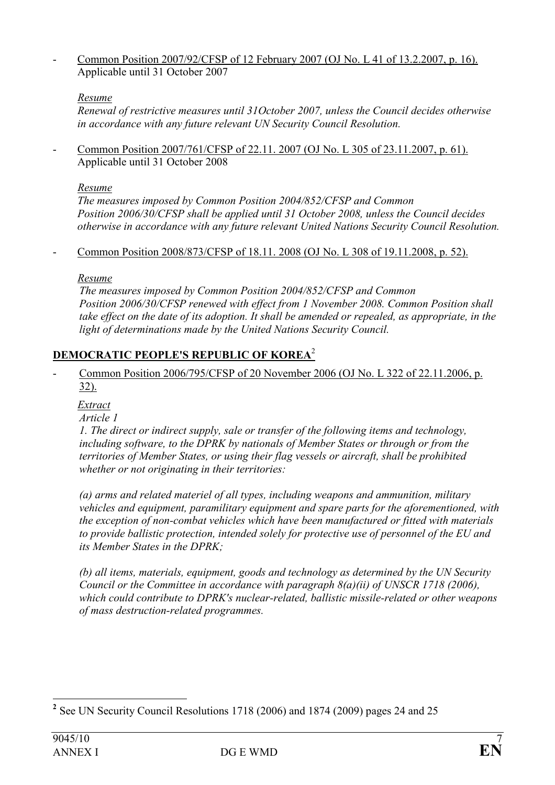- Common Position 2007/92/CFSP of 12 February 2007 (OJ No. L 41 of 13.2.2007, p. 16). Applicable until 31 October 2007

## Resume

Renewal of restrictive measures until 31October 2007, unless the Council decides otherwise in accordance with any future relevant UN Security Council Resolution.

- Common Position 2007/761/CFSP of 22.11. 2007 (OJ No. L 305 of 23.11.2007, p. 61). Applicable until 31 October 2008

#### Resume

The measures imposed by Common Position 2004/852/CFSP and Common Position 2006/30/CFSP shall be applied until 31 October 2008, unless the Council decides otherwise in accordance with any future relevant United Nations Security Council Resolution.

#### - Common Position 2008/873/CFSP of 18.11. 2008 (OJ No. L 308 of 19.11.2008, p. 52).

Resume

 The measures imposed by Common Position 2004/852/CFSP and Common Position 2006/30/CFSP renewed with effect from 1 November 2008. Common Position shall take effect on the date of its adoption. It shall be amended or repealed, as appropriate, in the light of determinations made by the United Nations Security Council.

## DEMOCRATIC PEOPLE'S REPUBLIC OF KOREA<sup>2</sup>

- Common Position 2006/795/CFSP of 20 November 2006 (OJ No. L 322 of 22.11.2006, p. 32).

Extract

Article 1

 1. The direct or indirect supply, sale or transfer of the following items and technology, including software, to the DPRK by nationals of Member States or through or from the territories of Member States, or using their flag vessels or aircraft, shall be prohibited whether or not originating in their territories:

 (a) arms and related materiel of all types, including weapons and ammunition, military vehicles and equipment, paramilitary equipment and spare parts for the aforementioned, with the exception of non-combat vehicles which have been manufactured or fitted with materials to provide ballistic protection, intended solely for protective use of personnel of the EU and its Member States in the DPRK;

 (b) all items, materials, equipment, goods and technology as determined by the UN Security Council or the Committee in accordance with paragraph  $8(a)(ii)$  of UNSCR 1718 (2006), which could contribute to DPRK's nuclear-related, ballistic missile-related or other weapons of mass destruction-related programmes.

 $\overline{a}$ <sup>2</sup> See UN Security Council Resolutions 1718 (2006) and 1874 (2009) pages 24 and 25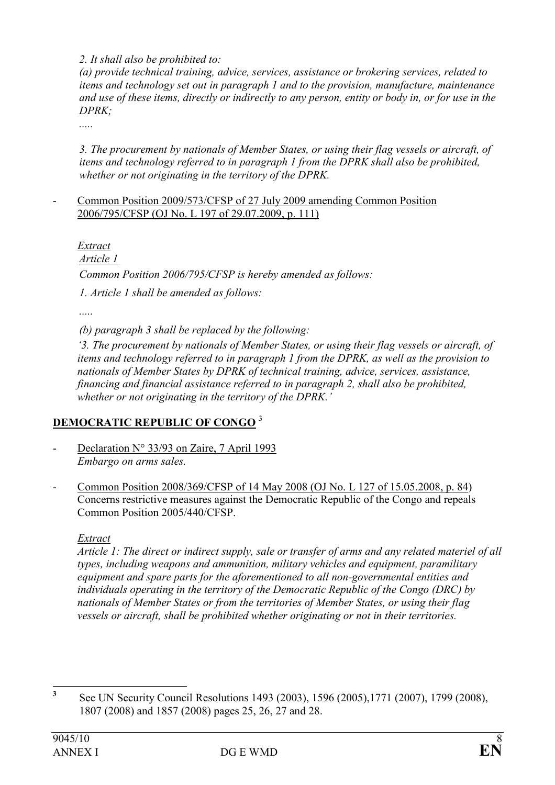2. It shall also be prohibited to:

 (a) provide technical training, advice, services, assistance or brokering services, related to items and technology set out in paragraph 1 and to the provision, manufacture, maintenance and use of these items, directly or indirectly to any person, entity or body in, or for use in the DPRK;

.....

 3. The procurement by nationals of Member States, or using their flag vessels or aircraft, of items and technology referred to in paragraph 1 from the DPRK shall also be prohibited, whether or not originating in the territory of the DPRK.

#### - Common Position 2009/573/CFSP of 27 July 2009 amending Common Position 2006/795/CFSP (OJ No. L 197 of 29.07.2009, p. 111)

Extract

Article 1

Common Position 2006/795/CFSP is hereby amended as follows:

1. Article 1 shall be amended as follows:

(b) paragraph 3 shall be replaced by the following:

 '3. The procurement by nationals of Member States, or using their flag vessels or aircraft, of items and technology referred to in paragraph 1 from the DPRK, as well as the provision to nationals of Member States by DPRK of technical training, advice, services, assistance, financing and financial assistance referred to in paragraph 2, shall also be prohibited, whether or not originating in the territory of the DPRK.

# DEMOCRATIC REPUBLIC OF CONGO<sup>3</sup>

- Declaration N° 33/93 on Zaire, 7 April 1993 Embargo on arms sales.
- Common Position 2008/369/CFSP of 14 May 2008 (OJ No. L 127 of 15.05.2008, p. 84) Concerns restrictive measures against the Democratic Republic of the Congo and repeals Common Position 2005/440/CFSP.

## Extract

Article 1: The direct or indirect supply, sale or transfer of arms and any related materiel of all types, including weapons and ammunition, military vehicles and equipment, paramilitary equipment and spare parts for the aforementioned to all non-governmental entities and individuals operating in the territory of the Democratic Republic of the Congo (DRC) by nationals of Member States or from the territories of Member States, or using their flag vessels or aircraft, shall be prohibited whether originating or not in their territories.

 3 See UN Security Council Resolutions 1493 (2003), 1596 (2005),1771 (2007), 1799 (2008), 1807 (2008) and 1857 (2008) pages 25, 26, 27 and 28.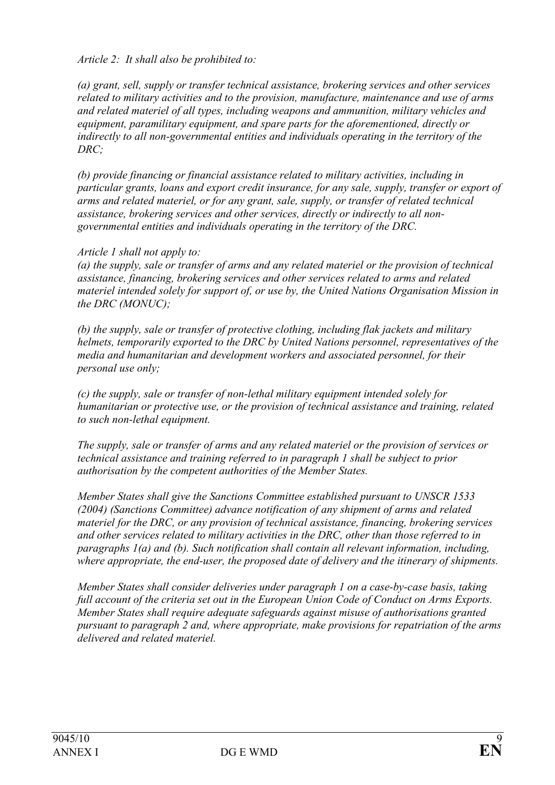Article 2: It shall also be prohibited to:

(a) grant, sell, supply or transfer technical assistance, brokering services and other services related to military activities and to the provision, manufacture, maintenance and use of arms and related materiel of all types, including weapons and ammunition, military vehicles and equipment, paramilitary equipment, and spare parts for the aforementioned, directly or indirectly to all non-governmental entities and individuals operating in the territory of the DRC;

(b) provide financing or financial assistance related to military activities, including in particular grants, loans and export credit insurance, for any sale, supply, transfer or export of arms and related materiel, or for any grant, sale, supply, or transfer of related technical assistance, brokering services and other services, directly or indirectly to all nongovernmental entities and individuals operating in the territory of the DRC.

### Article 1 shall not apply to:

(a) the supply, sale or transfer of arms and any related materiel or the provision of technical assistance, financing, brokering services and other services related to arms and related materiel intended solely for support of, or use by, the United Nations Organisation Mission in the DRC (MONUC);

(b) the supply, sale or transfer of protective clothing, including flak jackets and military helmets, temporarily exported to the DRC by United Nations personnel, representatives of the media and humanitarian and development workers and associated personnel, for their personal use only;

(c) the supply, sale or transfer of non-lethal military equipment intended solely for humanitarian or protective use, or the provision of technical assistance and training, related to such non-lethal equipment.

The supply, sale or transfer of arms and any related materiel or the provision of services or technical assistance and training referred to in paragraph 1 shall be subject to prior authorisation by the competent authorities of the Member States.

Member States shall give the Sanctions Committee established pursuant to UNSCR 1533 (2004) (Sanctions Committee) advance notification of any shipment of arms and related materiel for the DRC, or any provision of technical assistance, financing, brokering services and other services related to military activities in the DRC, other than those referred to in paragraphs 1(a) and (b). Such notification shall contain all relevant information, including, where appropriate, the end-user, the proposed date of delivery and the itinerary of shipments.

Member States shall consider deliveries under paragraph 1 on a case-by-case basis, taking full account of the criteria set out in the European Union Code of Conduct on Arms Exports. Member States shall require adequate safeguards against misuse of authorisations granted pursuant to paragraph 2 and, where appropriate, make provisions for repatriation of the arms delivered and related materiel.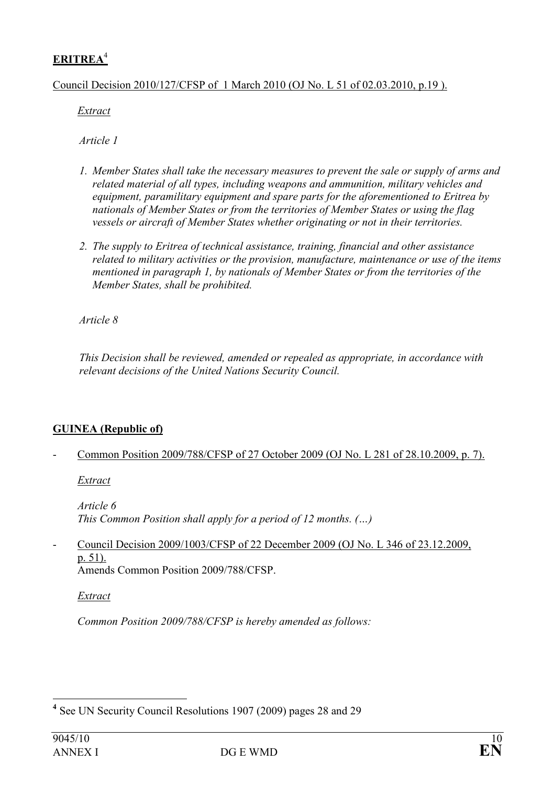# ERITREA<sup>4</sup>

Council Decision 2010/127/CFSP of 1 March 2010 (OJ No. L 51 of 02.03.2010, p.19 ).

Extract

Article 1

- 1. Member States shall take the necessary measures to prevent the sale or supply of arms and related material of all types, including weapons and ammunition, military vehicles and equipment, paramilitary equipment and spare parts for the aforementioned to Eritrea by nationals of Member States or from the territories of Member States or using the flag vessels or aircraft of Member States whether originating or not in their territories.
- 2. The supply to Eritrea of technical assistance, training, financial and other assistance related to military activities or the provision, manufacture, maintenance or use of the items mentioned in paragraph 1, by nationals of Member States or from the territories of the Member States, shall be prohibited.

Article 8

This Decision shall be reviewed, amended or repealed as appropriate, in accordance with relevant decisions of the United Nations Security Council.

## GUINEA (Republic of)

- Common Position 2009/788/CFSP of 27 October 2009 (OJ No. L 281 of 28.10.2009, p. 7).

Extract

Article 6 This Common Position shall apply for a period of 12 months. (…)

- Council Decision 2009/1003/CFSP of 22 December 2009 (OJ No. L 346 of 23.12.2009, p. 51). Amends Common Position 2009/788/CFSP.

Extract

Common Position 2009/788/CFSP is hereby amended as follows:

 $\overline{a}$ <sup>4</sup> See UN Security Council Resolutions 1907 (2009) pages 28 and 29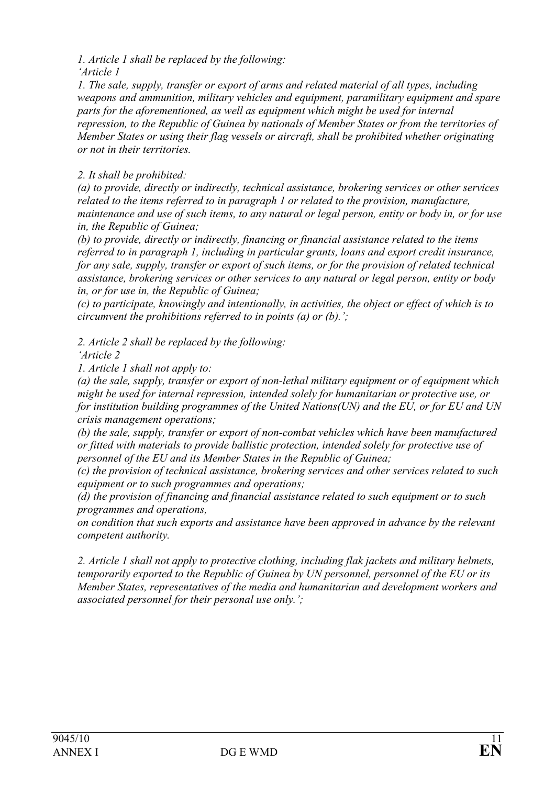1. Article 1 shall be replaced by the following:

'Article 1

1. The sale, supply, transfer or export of arms and related material of all types, including weapons and ammunition, military vehicles and equipment, paramilitary equipment and spare parts for the aforementioned, as well as equipment which might be used for internal repression, to the Republic of Guinea by nationals of Member States or from the territories of Member States or using their flag vessels or aircraft, shall be prohibited whether originating or not in their territories.

# 2. It shall be prohibited:

(a) to provide, directly or indirectly, technical assistance, brokering services or other services related to the items referred to in paragraph 1 or related to the provision, manufacture, maintenance and use of such items, to any natural or legal person, entity or body in, or for use in, the Republic of Guinea;

(b) to provide, directly or indirectly, financing or financial assistance related to the items referred to in paragraph 1, including in particular grants, loans and export credit insurance, for any sale, supply, transfer or export of such items, or for the provision of related technical assistance, brokering services or other services to any natural or legal person, entity or body in, or for use in, the Republic of Guinea;

(c) to participate, knowingly and intentionally, in activities, the object or effect of which is to circumvent the prohibitions referred to in points (a) or (b).';

2. Article 2 shall be replaced by the following:

'Article 2

1. Article 1 shall not apply to:

(a) the sale, supply, transfer or export of non-lethal military equipment or of equipment which might be used for internal repression, intended solely for humanitarian or protective use, or for institution building programmes of the United Nations(UN) and the EU, or for EU and UN crisis management operations;

(b) the sale, supply, transfer or export of non-combat vehicles which have been manufactured or fitted with materials to provide ballistic protection, intended solely for protective use of personnel of the EU and its Member States in the Republic of Guinea;

(c) the provision of technical assistance, brokering services and other services related to such equipment or to such programmes and operations;

(d) the provision of financing and financial assistance related to such equipment or to such programmes and operations,

on condition that such exports and assistance have been approved in advance by the relevant competent authority.

2. Article 1 shall not apply to protective clothing, including flak jackets and military helmets, temporarily exported to the Republic of Guinea by UN personnel, personnel of the EU or its Member States, representatives of the media and humanitarian and development workers and associated personnel for their personal use only.';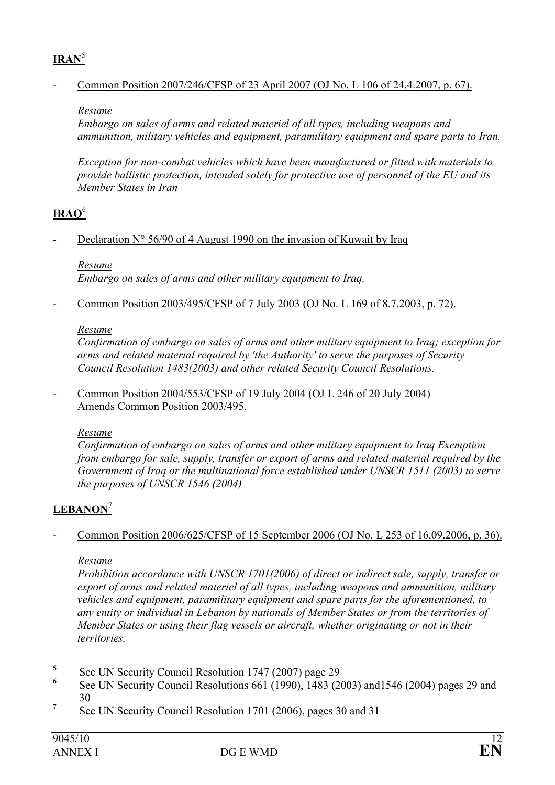# $IRAN<sup>5</sup>$

## - Common Position 2007/246/CFSP of 23 April 2007 (OJ No. L 106 of 24.4.2007, p. 67).

### Resume

Embargo on sales of arms and related materiel of all types, including weapons and ammunition, military vehicles and equipment, paramilitary equipment and spare parts to Iran.

Exception for non-combat vehicles which have been manufactured or fitted with materials to provide ballistic protection, intended solely for protective use of personnel of the EU and its Member States in Iran

# $IRAO<sup>6</sup>$

Declaration  $N^{\circ}$  56/90 of 4 August 1990 on the invasion of Kuwait by Iraq

Resume

Embargo on sales of arms and other military equipment to Iraq.

- Common Position 2003/495/CFSP of 7 July 2003 (OJ No. L 169 of 8.7.2003, p. 72).

## Resume

Confirmation of embargo on sales of arms and other military equipment to Iraq; exception for arms and related material required by 'the Authority' to serve the purposes of Security Council Resolution 1483(2003) and other related Security Council Resolutions.

- Common Position 2004/553/CFSP of 19 July 2004 (OJ L 246 of 20 July 2004) Amends Common Position 2003/495.

# Resume

Confirmation of embargo on sales of arms and other military equipment to Iraq Exemption from embargo for sale, supply, transfer or export of arms and related material required by the Government of Iraq or the multinational force established under UNSCR 1511 (2003) to serve the purposes of UNSCR 1546 (2004)

# LEBANON<sup>7</sup>

- Common Position 2006/625/CFSP of 15 September 2006 (OJ No. L 253 of 16.09.2006, p. 36).

## Resume

Prohibition accordance with UNSCR 1701(2006) of direct or indirect sale, supply, transfer or export of arms and related materiel of all types, including weapons and ammunition, military vehicles and equipment, paramilitary equipment and spare parts for the aforementioned, to any entity or individual in Lebanon by nationals of Member States or from the territories of Member States or using their flag vessels or aircraft, whether originating or not in their territories.

 5 See UN Security Council Resolution 1747 (2007) page 29

<sup>6</sup> See UN Security Council Resolutions 661 (1990), 1483 (2003) and1546 (2004) pages 29 and 30

<sup>7</sup> See UN Security Council Resolution 1701 (2006), pages 30 and 31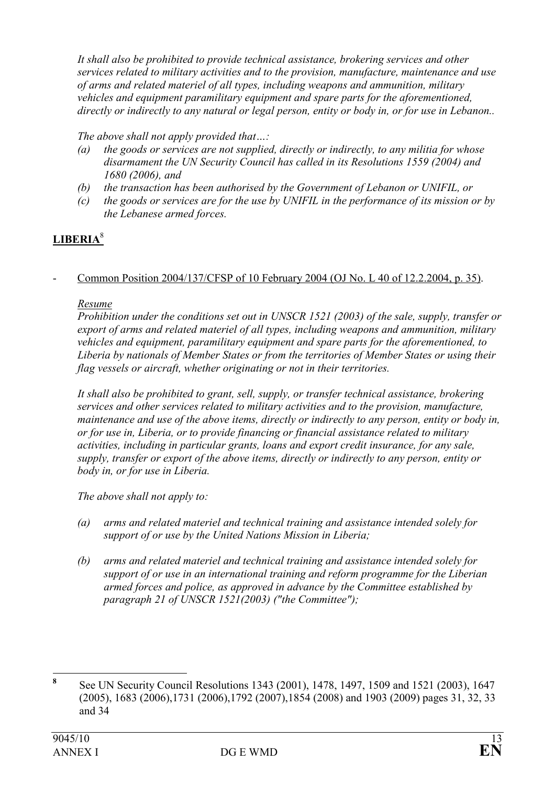It shall also be prohibited to provide technical assistance, brokering services and other services related to military activities and to the provision, manufacture, maintenance and use of arms and related materiel of all types, including weapons and ammunition, military vehicles and equipment paramilitary equipment and spare parts for the aforementioned, directly or indirectly to any natural or legal person, entity or body in, or for use in Lebanon..

### The above shall not apply provided that...:

- (a) the goods or services are not supplied, directly or indirectly, to any militia for whose disarmament the UN Security Council has called in its Resolutions 1559 (2004) and 1680 (2006), and
- (b) the transaction has been authorised by the Government of Lebanon or UNIFIL, or
- (c) the goods or services are for the use by UNIFIL in the performance of its mission or by the Lebanese armed forces.

# LIBERIA<sup>8</sup>

### - Common Position 2004/137/CFSP of 10 February 2004 (OJ No. L 40 of 12.2.2004, p. 35).

### Resume

Prohibition under the conditions set out in UNSCR 1521 (2003) of the sale, supply, transfer or export of arms and related materiel of all types, including weapons and ammunition, military vehicles and equipment, paramilitary equipment and spare parts for the aforementioned, to Liberia by nationals of Member States or from the territories of Member States or using their flag vessels or aircraft, whether originating or not in their territories.

It shall also be prohibited to grant, sell, supply, or transfer technical assistance, brokering services and other services related to military activities and to the provision, manufacture, maintenance and use of the above items, directly or indirectly to any person, entity or body in, or for use in, Liberia, or to provide financing or financial assistance related to military activities, including in particular grants, loans and export credit insurance, for any sale, supply, transfer or export of the above items, directly or indirectly to any person, entity or body in, or for use in Liberia.

The above shall not apply to:

- (a) arms and related materiel and technical training and assistance intended solely for support of or use by the United Nations Mission in Liberia;
- (b) arms and related materiel and technical training and assistance intended solely for support of or use in an international training and reform programme for the Liberian armed forces and police, as approved in advance by the Committee established by paragraph 21 of UNSCR 1521(2003) ("the Committee");

 8 See UN Security Council Resolutions 1343 (2001), 1478, 1497, 1509 and 1521 (2003), 1647 (2005), 1683 (2006),1731 (2006),1792 (2007),1854 (2008) and 1903 (2009) pages 31, 32, 33 and 34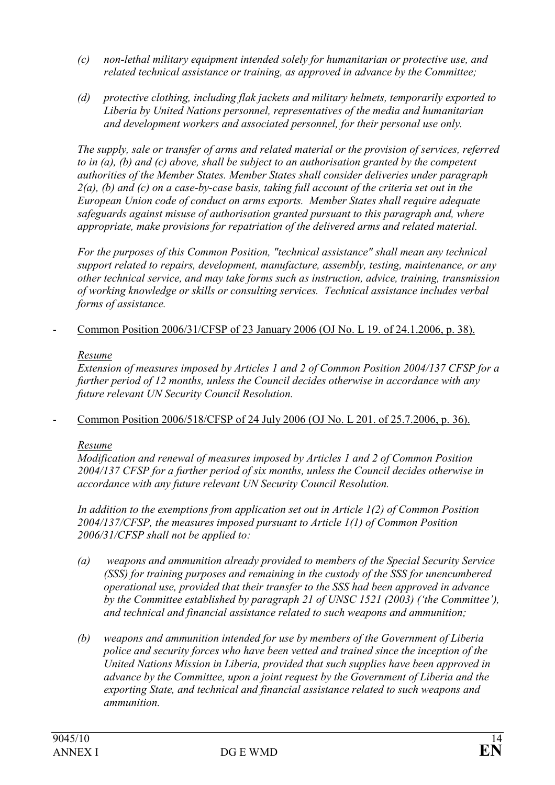- (c) non-lethal military equipment intended solely for humanitarian or protective use, and related technical assistance or training, as approved in advance by the Committee;
- (d) protective clothing, including flak jackets and military helmets, temporarily exported to Liberia by United Nations personnel, representatives of the media and humanitarian and development workers and associated personnel, for their personal use only.

The supply, sale or transfer of arms and related material or the provision of services, referred to in (a), (b) and (c) above, shall be subject to an authorisation granted by the competent authorities of the Member States. Member States shall consider deliveries under paragraph  $2(a)$ , (b) and (c) on a case-by-case basis, taking full account of the criteria set out in the European Union code of conduct on arms exports. Member States shall require adequate safeguards against misuse of authorisation granted pursuant to this paragraph and, where appropriate, make provisions for repatriation of the delivered arms and related material.

For the purposes of this Common Position, "technical assistance" shall mean any technical support related to repairs, development, manufacture, assembly, testing, maintenance, or any other technical service, and may take forms such as instruction, advice, training, transmission of working knowledge or skills or consulting services. Technical assistance includes verbal forms of assistance.

- Common Position 2006/31/CFSP of 23 January 2006 (OJ No. L 19. of 24.1.2006, p. 38).

## Resume

Extension of measures imposed by Articles 1 and 2 of Common Position 2004/137 CFSP for a further period of 12 months, unless the Council decides otherwise in accordance with any future relevant UN Security Council Resolution.

- Common Position 2006/518/CFSP of 24 July 2006 (OJ No. L 201. of 25.7.2006, p. 36).

# Resume

Modification and renewal of measures imposed by Articles 1 and 2 of Common Position 2004/137 CFSP for a further period of six months, unless the Council decides otherwise in accordance with any future relevant UN Security Council Resolution.

In addition to the exemptions from application set out in Article 1(2) of Common Position 2004/137/CFSP, the measures imposed pursuant to Article 1(1) of Common Position 2006/31/CFSP shall not be applied to:

- (a) weapons and ammunition already provided to members of the Special Security Service (SSS) for training purposes and remaining in the custody of the SSS for unencumbered operational use, provided that their transfer to the SSS had been approved in advance by the Committee established by paragraph 21 of UNSC 1521 (2003) ('the Committee'), and technical and financial assistance related to such weapons and ammunition;
- (b) weapons and ammunition intended for use by members of the Government of Liberia police and security forces who have been vetted and trained since the inception of the United Nations Mission in Liberia, provided that such supplies have been approved in advance by the Committee, upon a joint request by the Government of Liberia and the exporting State, and technical and financial assistance related to such weapons and ammunition.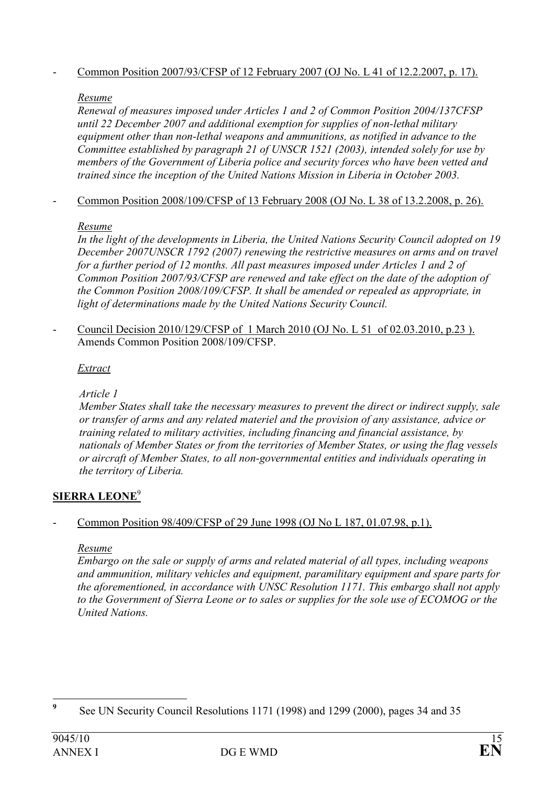# - Common Position 2007/93/CFSP of 12 February 2007 (OJ No. L 41 of 12.2.2007, p. 17).

### Resume

Renewal of measures imposed under Articles 1 and 2 of Common Position 2004/137CFSP until 22 December 2007 and additional exemption for supplies of non-lethal military equipment other than non-lethal weapons and ammunitions, as notified in advance to the Committee established by paragraph 21 of UNSCR 1521 (2003), intended solely for use by members of the Government of Liberia police and security forces who have been vetted and trained since the inception of the United Nations Mission in Liberia in October 2003.

### - Common Position 2008/109/CFSP of 13 February 2008 (OJ No. L 38 of 13.2.2008, p. 26).

### Resume

In the light of the developments in Liberia, the United Nations Security Council adopted on 19 December 2007UNSCR 1792 (2007) renewing the restrictive measures on arms and on travel for a further period of 12 months. All past measures imposed under Articles 1 and 2 of Common Position 2007/93/CFSP are renewed and take effect on the date of the adoption of the Common Position 2008/109/CFSP. It shall be amended or repealed as appropriate, in light of determinations made by the United Nations Security Council.

- Council Decision 2010/129/CFSP of 1 March 2010 (OJ No. L 51 of 02.03.2010, p.23 ). Amends Common Position 2008/109/CFSP.

### Extract

Article 1

Member States shall take the necessary measures to prevent the direct or indirect supply, sale or transfer of arms and any related materiel and the provision of any assistance, advice or training related to military activities, including financing and financial assistance, by nationals of Member States or from the territories of Member States, or using the flag vessels or aircraft of Member States, to all non-governmental entities and individuals operating in the territory of Liberia.

## SIERRA LEONE<sup>9</sup>

## - Common Position 98/409/CFSP of 29 June 1998 (OJ No L 187, 01.07.98, p.1).

### Resume

Embargo on the sale or supply of arms and related material of all types, including weapons and ammunition, military vehicles and equipment, paramilitary equipment and spare parts for the aforementioned, in accordance with UNSC Resolution 1171. This embargo shall not apply to the Government of Sierra Leone or to sales or supplies for the sole use of ECOMOG or the United Nations.

 9 See UN Security Council Resolutions 1171 (1998) and 1299 (2000), pages 34 and 35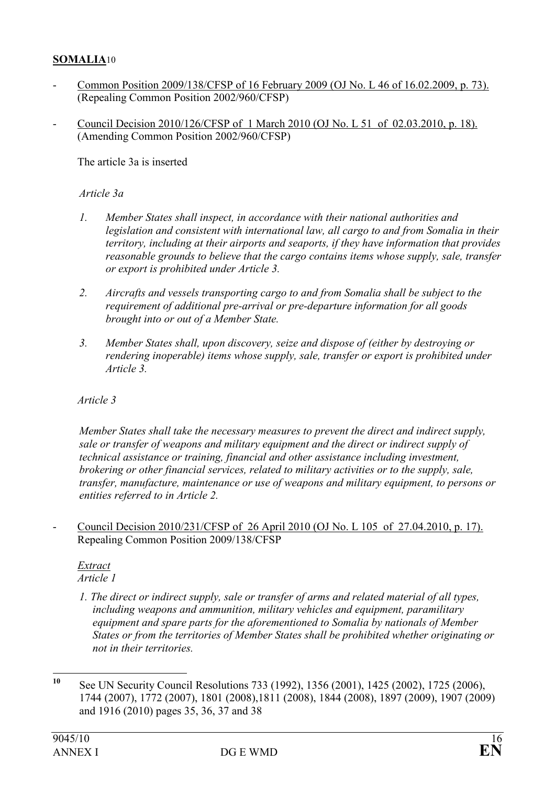### SOMALIA10

- Common Position 2009/138/CFSP of 16 February 2009 (OJ No. L 46 of 16.02.2009, p. 73). (Repealing Common Position 2002/960/CFSP)
- Council Decision 2010/126/CFSP of 1 March 2010 (OJ No. L 51 of 02.03.2010, p. 18). (Amending Common Position 2002/960/CFSP)

The article 3a is inserted

### Article 3a

- 1. Member States shall inspect, in accordance with their national authorities and legislation and consistent with international law, all cargo to and from Somalia in their territory, including at their airports and seaports, if they have information that provides reasonable grounds to believe that the cargo contains items whose supply, sale, transfer or export is prohibited under Article 3.
- 2. Aircrafts and vessels transporting cargo to and from Somalia shall be subject to the requirement of additional pre-arrival or pre-departure information for all goods brought into or out of a Member State.
- 3. Member States shall, upon discovery, seize and dispose of (either by destroying or rendering inoperable) items whose supply, sale, transfer or export is prohibited under Article 3.

### Article 3

Member States shall take the necessary measures to prevent the direct and indirect supply, sale or transfer of weapons and military equipment and the direct or indirect supply of technical assistance or training, financial and other assistance including investment, brokering or other financial services, related to military activities or to the supply, sale, transfer, manufacture, maintenance or use of weapons and military equipment, to persons or entities referred to in Article 2.

- Council Decision 2010/231/CFSP of 26 April 2010 (OJ No. L 105 of 27.04.2010, p. 17). Repealing Common Position 2009/138/CFSP

#### Extract Article 1

1. The direct or indirect supply, sale or transfer of arms and related material of all types, including weapons and ammunition, military vehicles and equipment, paramilitary equipment and spare parts for the aforementioned to Somalia by nationals of Member States or from the territories of Member States shall be prohibited whether originating or not in their territories.

 $10$ See UN Security Council Resolutions 733 (1992), 1356 (2001), 1425 (2002), 1725 (2006), 1744 (2007), 1772 (2007), 1801 (2008),1811 (2008), 1844 (2008), 1897 (2009), 1907 (2009) and 1916 (2010) pages 35, 36, 37 and 38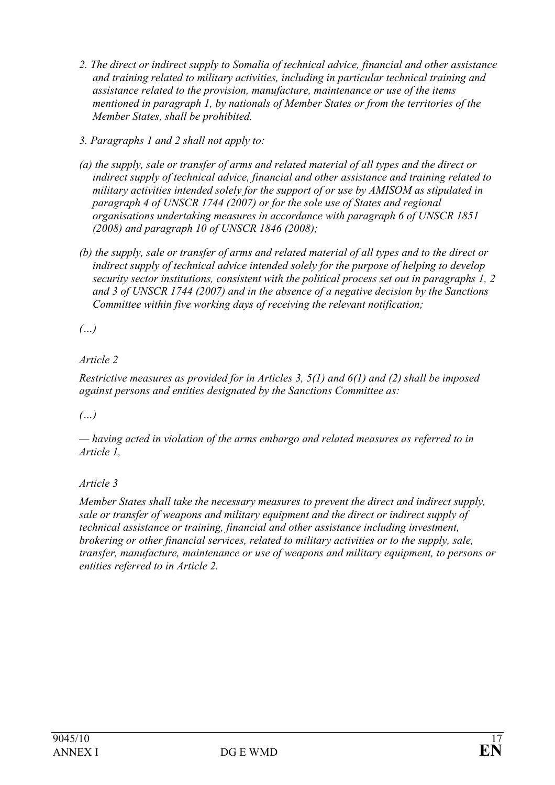- 2. The direct or indirect supply to Somalia of technical advice, financial and other assistance and training related to military activities, including in particular technical training and assistance related to the provision, manufacture, maintenance or use of the items mentioned in paragraph 1, by nationals of Member States or from the territories of the Member States, shall be prohibited.
- 3. Paragraphs 1 and 2 shall not apply to:
- (a) the supply, sale or transfer of arms and related material of all types and the direct or indirect supply of technical advice, financial and other assistance and training related to military activities intended solely for the support of or use by AMISOM as stipulated in paragraph 4 of UNSCR 1744 (2007) or for the sole use of States and regional organisations undertaking measures in accordance with paragraph 6 of UNSCR 1851 (2008) and paragraph 10 of UNSCR 1846 (2008);
- (b) the supply, sale or transfer of arms and related material of all types and to the direct or indirect supply of technical advice intended solely for the purpose of helping to develop security sector institutions, consistent with the political process set out in paragraphs 1, 2 and 3 of UNSCR 1744 (2007) and in the absence of a negative decision by the Sanctions Committee within five working days of receiving the relevant notification;

(…)

## Article 2

Restrictive measures as provided for in Articles 3, 5(1) and 6(1) and (2) shall be imposed against persons and entities designated by the Sanctions Committee as:

## $(\ldots)$

— having acted in violation of the arms embargo and related measures as referred to in Article 1,

## Article 3

Member States shall take the necessary measures to prevent the direct and indirect supply, sale or transfer of weapons and military equipment and the direct or indirect supply of technical assistance or training, financial and other assistance including investment, brokering or other financial services, related to military activities or to the supply, sale, transfer, manufacture, maintenance or use of weapons and military equipment, to persons or entities referred to in Article 2.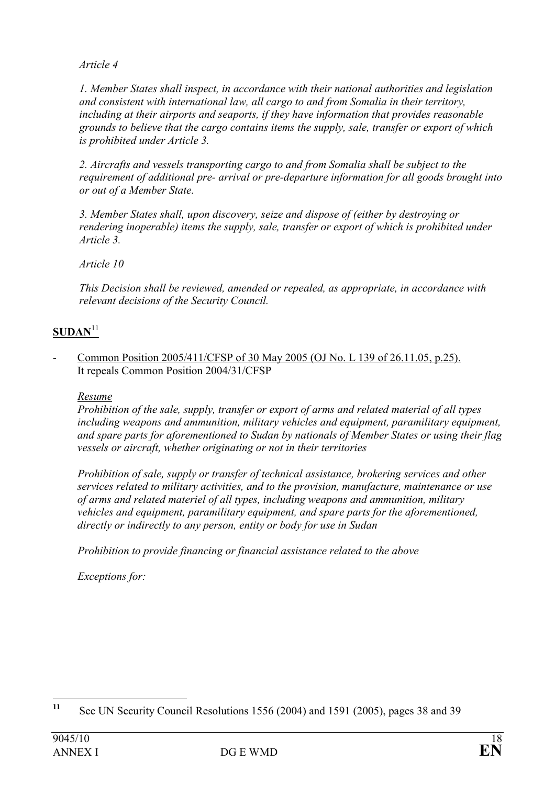Article 4

1. Member States shall inspect, in accordance with their national authorities and legislation and consistent with international law, all cargo to and from Somalia in their territory, including at their airports and seaports, if they have information that provides reasonable grounds to believe that the cargo contains items the supply, sale, transfer or export of which is prohibited under Article 3.

2. Aircrafts and vessels transporting cargo to and from Somalia shall be subject to the requirement of additional pre- arrival or pre-departure information for all goods brought into or out of a Member State.

3. Member States shall, upon discovery, seize and dispose of (either by destroying or rendering inoperable) items the supply, sale, transfer or export of which is prohibited under Article 3.

Article 10

This Decision shall be reviewed, amended or repealed, as appropriate, in accordance with relevant decisions of the Security Council.

## $SUM<sup>11</sup>$

Common Position 2005/411/CFSP of 30 May 2005 (OJ No. L 139 of 26.11.05, p.25). It repeals Common Position 2004/31/CFSP

Resume

Prohibition of the sale, supply, transfer or export of arms and related material of all types including weapons and ammunition, military vehicles and equipment, paramilitary equipment, and spare parts for aforementioned to Sudan by nationals of Member States or using their flag vessels or aircraft, whether originating or not in their territories

Prohibition of sale, supply or transfer of technical assistance, brokering services and other services related to military activities, and to the provision, manufacture, maintenance or use of arms and related materiel of all types, including weapons and ammunition, military vehicles and equipment, paramilitary equipment, and spare parts for the aforementioned, directly or indirectly to any person, entity or body for use in Sudan

Prohibition to provide financing or financial assistance related to the above

Exceptions for:

<sup>11</sup> See UN Security Council Resolutions 1556 (2004) and 1591 (2005), pages 38 and 39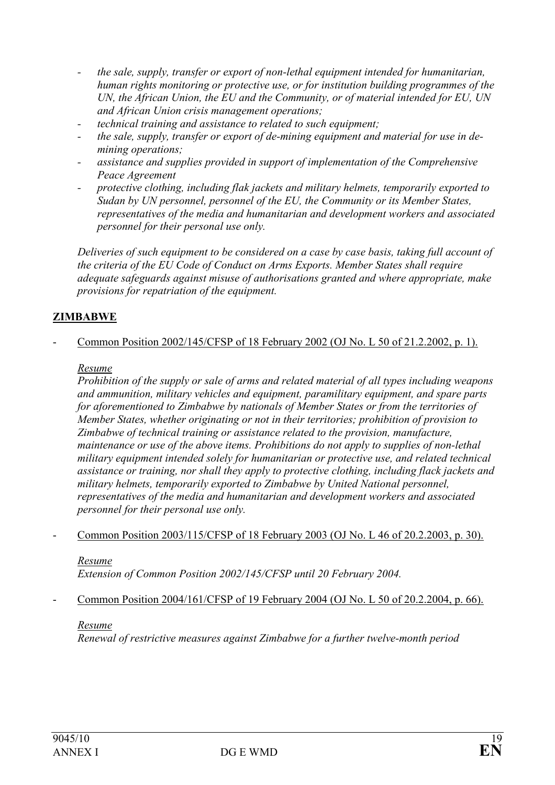- the sale, supply, transfer or export of non-lethal equipment intended for humanitarian, human rights monitoring or protective use, or for institution building programmes of the UN, the African Union, the EU and the Community, or of material intended for EU, UN and African Union crisis management operations;
- technical training and assistance to related to such equipment;
- the sale, supply, transfer or export of de-mining equipment and material for use in demining operations;
- assistance and supplies provided in support of implementation of the Comprehensive Peace Agreement
- protective clothing, including flak jackets and military helmets, temporarily exported to Sudan by UN personnel, personnel of the EU, the Community or its Member States, representatives of the media and humanitarian and development workers and associated personnel for their personal use only.

Deliveries of such equipment to be considered on a case by case basis, taking full account of the criteria of the EU Code of Conduct on Arms Exports. Member States shall require adequate safeguards against misuse of authorisations granted and where appropriate, make provisions for repatriation of the equipment.

### ZIMBABWE

- Common Position 2002/145/CFSP of 18 February 2002 (OJ No. L 50 of 21.2.2002, p. 1).

#### Resume

Prohibition of the supply or sale of arms and related material of all types including weapons and ammunition, military vehicles and equipment, paramilitary equipment, and spare parts for aforementioned to Zimbabwe by nationals of Member States or from the territories of Member States, whether originating or not in their territories; prohibition of provision to Zimbabwe of technical training or assistance related to the provision, manufacture, maintenance or use of the above items. Prohibitions do not apply to supplies of non-lethal military equipment intended solely for humanitarian or protective use, and related technical assistance or training, nor shall they apply to protective clothing, including flack jackets and military helmets, temporarily exported to Zimbabwe by United National personnel, representatives of the media and humanitarian and development workers and associated personnel for their personal use only.

- Common Position 2003/115/CFSP of 18 February 2003 (OJ No. L 46 of 20.2.2003, p. 30).

#### Resume

Extension of Common Position 2002/145/CFSP until 20 February 2004.

- Common Position 2004/161/CFSP of 19 February 2004 (OJ No. L 50 of 20.2.2004, p. 66).

#### Resume

Renewal of restrictive measures against Zimbabwe for a further twelve-month period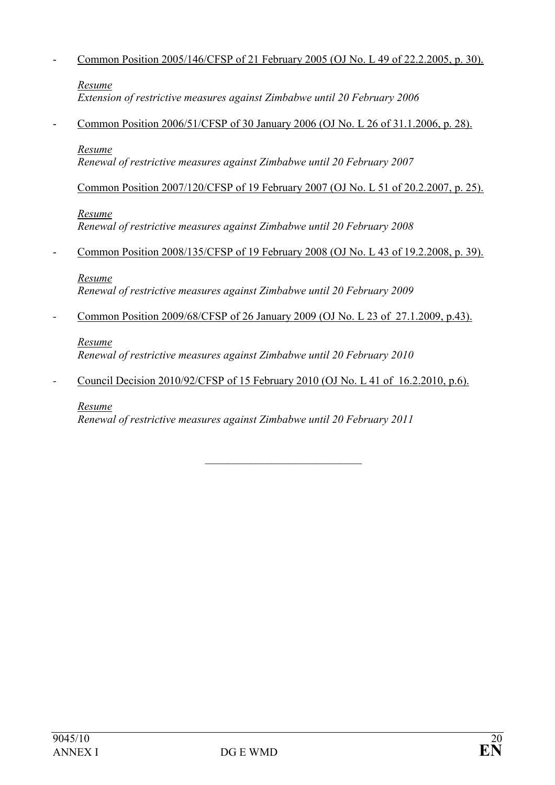### - Common Position 2005/146/CFSP of 21 February 2005 (OJ No. L 49 of 22.2.2005, p. 30).

### Resume

Extension of restrictive measures against Zimbabwe until 20 February 2006

- Common Position 2006/51/CFSP of 30 January 2006 (OJ No. L 26 of 31.1.2006, p. 28).

#### Resume

Renewal of restrictive measures against Zimbabwe until 20 February 2007

Common Position 2007/120/CFSP of 19 February 2007 (OJ No. L 51 of 20.2.2007, p. 25).

### Resume

Renewal of restrictive measures against Zimbabwe until 20 February 2008

- Common Position 2008/135/CFSP of 19 February 2008 (OJ No. L 43 of 19.2.2008, p. 39).

### Resume

Renewal of restrictive measures against Zimbabwe until 20 February 2009

- Common Position 2009/68/CFSP of 26 January 2009 (OJ No. L 23 of 27.1.2009, p.43).

### Resume

Renewal of restrictive measures against Zimbabwe until 20 February 2010

- Council Decision 2010/92/CFSP of 15 February 2010 (OJ No. L 41 of 16.2.2010, p.6).

### Resume

Renewal of restrictive measures against Zimbabwe until 20 February 2011

 $\mathcal{L}_\text{max}$  , which is a set of the set of the set of the set of the set of the set of the set of the set of the set of the set of the set of the set of the set of the set of the set of the set of the set of the set of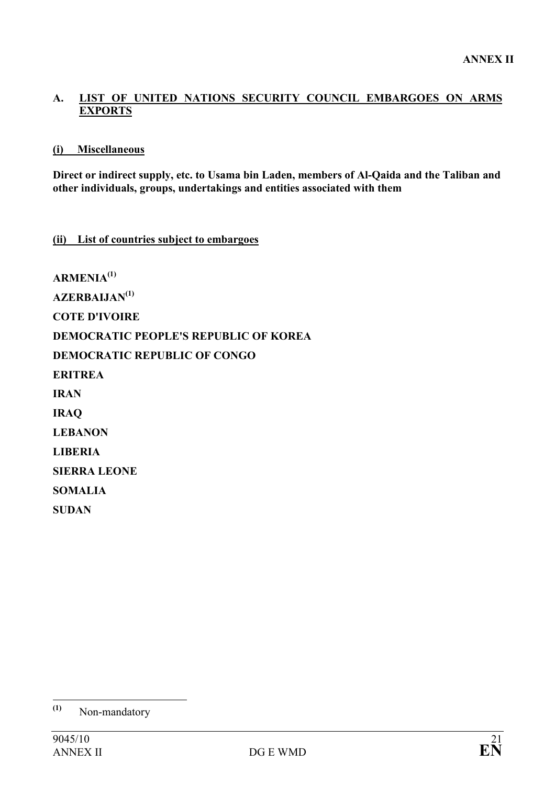### A. LIST OF UNITED NATIONS SECURITY COUNCIL EMBARGOES ON ARMS **EXPORTS**

### (i) Miscellaneous

Direct or indirect supply, etc. to Usama bin Laden, members of Al-Qaida and the Taliban and other individuals, groups, undertakings and entities associated with them

### (ii) List of countries subject to embargoes

 $ARMENIA<sup>(1)</sup>$ AZERBALJAN<sup>(1)</sup> COTE D'IVOIRE DEMOCRATIC PEOPLE'S REPUBLIC OF KOREA DEMOCRATIC REPUBLIC OF CONGO ERITREA IRAN IRAQ LEBANON LIBERIA SIERRA LEONE SOMALIA **SUDAN** 

 $(1)$ Non-mandatory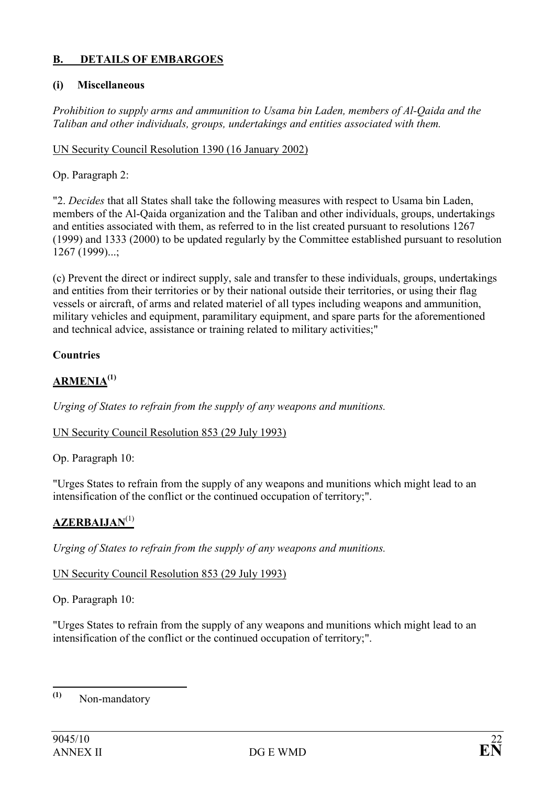## B. DETAILS OF EMBARGOES

### (i) Miscellaneous

Prohibition to supply arms and ammunition to Usama bin Laden, members of Al-Qaida and the Taliban and other individuals, groups, undertakings and entities associated with them.

### UN Security Council Resolution 1390 (16 January 2002)

### Op. Paragraph 2:

"2. Decides that all States shall take the following measures with respect to Usama bin Laden, members of the Al-Qaida organization and the Taliban and other individuals, groups, undertakings and entities associated with them, as referred to in the list created pursuant to resolutions 1267 (1999) and 1333 (2000) to be updated regularly by the Committee established pursuant to resolution 1267 (1999)...;

(c) Prevent the direct or indirect supply, sale and transfer to these individuals, groups, undertakings and entities from their territories or by their national outside their territories, or using their flag vessels or aircraft, of arms and related materiel of all types including weapons and ammunition, military vehicles and equipment, paramilitary equipment, and spare parts for the aforementioned and technical advice, assistance or training related to military activities;"

## Countries

# ARMENIA<sup>(1)</sup>

Urging of States to refrain from the supply of any weapons and munitions.

### UN Security Council Resolution 853 (29 July 1993)

Op. Paragraph 10:

"Urges States to refrain from the supply of any weapons and munitions which might lead to an intensification of the conflict or the continued occupation of territory;".

## $AZERBALIAN<sup>(1)</sup>$

Urging of States to refrain from the supply of any weapons and munitions.

### UN Security Council Resolution 853 (29 July 1993)

Op. Paragraph 10:

"Urges States to refrain from the supply of any weapons and munitions which might lead to an intensification of the conflict or the continued occupation of territory;".

 $(1)$ Non-mandatory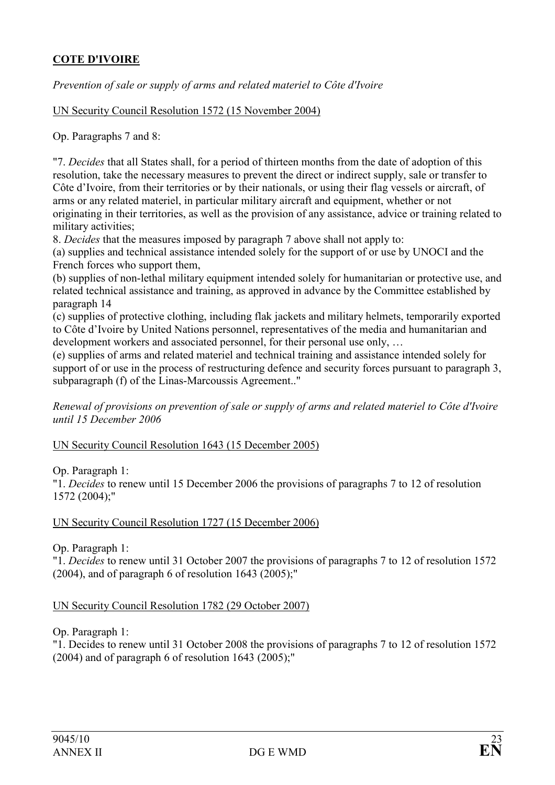## COTE D'IVOIRE

Prevention of sale or supply of arms and related materiel to Côte d'Ivoire

UN Security Council Resolution 1572 (15 November 2004)

Op. Paragraphs 7 and 8:

"7. Decides that all States shall, for a period of thirteen months from the date of adoption of this resolution, take the necessary measures to prevent the direct or indirect supply, sale or transfer to Côte d'Ivoire, from their territories or by their nationals, or using their flag vessels or aircraft, of arms or any related materiel, in particular military aircraft and equipment, whether or not originating in their territories, as well as the provision of any assistance, advice or training related to military activities;

8. Decides that the measures imposed by paragraph 7 above shall not apply to:

(a) supplies and technical assistance intended solely for the support of or use by UNOCI and the French forces who support them,

(b) supplies of non-lethal military equipment intended solely for humanitarian or protective use, and related technical assistance and training, as approved in advance by the Committee established by paragraph 14

(c) supplies of protective clothing, including flak jackets and military helmets, temporarily exported to Côte d'Ivoire by United Nations personnel, representatives of the media and humanitarian and development workers and associated personnel, for their personal use only, …

(e) supplies of arms and related materiel and technical training and assistance intended solely for support of or use in the process of restructuring defence and security forces pursuant to paragraph 3, subparagraph (f) of the Linas-Marcoussis Agreement.."

Renewal of provisions on prevention of sale or supply of arms and related materiel to Côte d'Ivoire until 15 December 2006

UN Security Council Resolution 1643 (15 December 2005)

Op. Paragraph 1:

"1. Decides to renew until 15 December 2006 the provisions of paragraphs 7 to 12 of resolution 1572 (2004);"

UN Security Council Resolution 1727 (15 December 2006)

Op. Paragraph 1:

"1. Decides to renew until 31 October 2007 the provisions of paragraphs 7 to 12 of resolution 1572  $(2004)$ , and of paragraph 6 of resolution 1643  $(2005)$ ;"

UN Security Council Resolution 1782 (29 October 2007)

Op. Paragraph 1:

"1. Decides to renew until 31 October 2008 the provisions of paragraphs 7 to 12 of resolution 1572  $(2004)$  and of paragraph 6 of resolution 1643  $(2005)$ ;"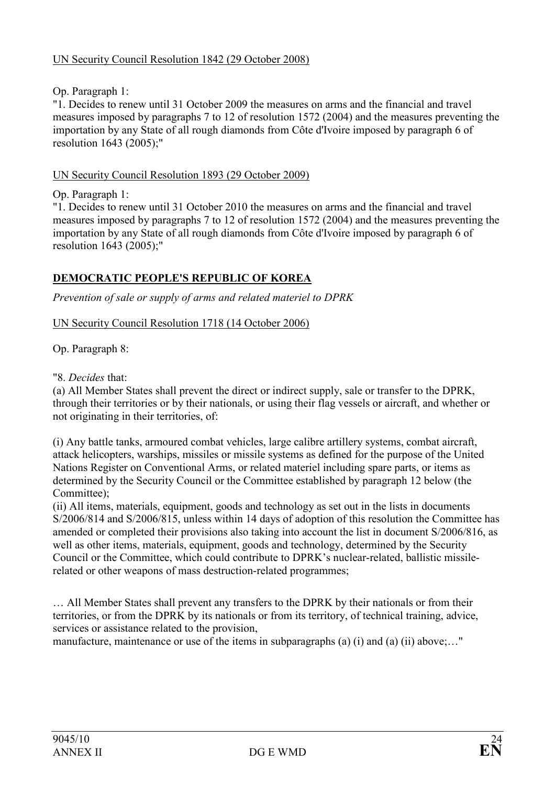## Op. Paragraph 1:

"1. Decides to renew until 31 October 2009 the measures on arms and the financial and travel measures imposed by paragraphs 7 to 12 of resolution 1572 (2004) and the measures preventing the importation by any State of all rough diamonds from Côte d'Ivoire imposed by paragraph 6 of resolution 1643 (2005);"

### UN Security Council Resolution 1893 (29 October 2009)

Op. Paragraph 1:

"1. Decides to renew until 31 October 2010 the measures on arms and the financial and travel measures imposed by paragraphs 7 to 12 of resolution 1572 (2004) and the measures preventing the importation by any State of all rough diamonds from Côte d'Ivoire imposed by paragraph 6 of resolution 1643 (2005);"

## DEMOCRATIC PEOPLE'S REPUBLIC OF KOREA

Prevention of sale or supply of arms and related materiel to DPRK

UN Security Council Resolution 1718 (14 October 2006)

Op. Paragraph 8:

"8. Decides that:

(a) All Member States shall prevent the direct or indirect supply, sale or transfer to the DPRK, through their territories or by their nationals, or using their flag vessels or aircraft, and whether or not originating in their territories, of:

(i) Any battle tanks, armoured combat vehicles, large calibre artillery systems, combat aircraft, attack helicopters, warships, missiles or missile systems as defined for the purpose of the United Nations Register on Conventional Arms, or related materiel including spare parts, or items as determined by the Security Council or the Committee established by paragraph 12 below (the Committee):

(ii) All items, materials, equipment, goods and technology as set out in the lists in documents S/2006/814 and S/2006/815, unless within 14 days of adoption of this resolution the Committee has amended or completed their provisions also taking into account the list in document S/2006/816, as well as other items, materials, equipment, goods and technology, determined by the Security Council or the Committee, which could contribute to DPRK's nuclear-related, ballistic missilerelated or other weapons of mass destruction-related programmes;

… All Member States shall prevent any transfers to the DPRK by their nationals or from their territories, or from the DPRK by its nationals or from its territory, of technical training, advice, services or assistance related to the provision,

manufacture, maintenance or use of the items in subparagraphs (a) (i) and (a) (ii) above;..."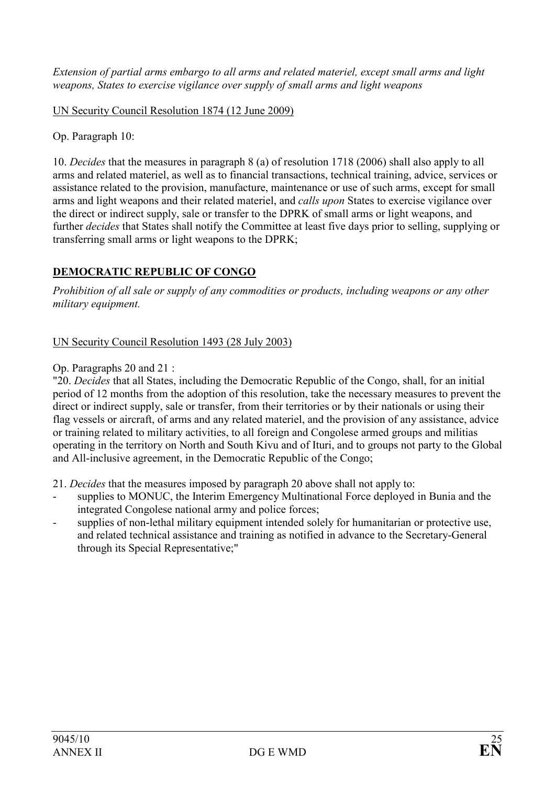Extension of partial arms embargo to all arms and related materiel, except small arms and light weapons, States to exercise vigilance over supply of small arms and light weapons

UN Security Council Resolution 1874 (12 June 2009)

Op. Paragraph 10:

10. Decides that the measures in paragraph 8 (a) of resolution 1718 (2006) shall also apply to all arms and related materiel, as well as to financial transactions, technical training, advice, services or assistance related to the provision, manufacture, maintenance or use of such arms, except for small arms and light weapons and their related materiel, and calls upon States to exercise vigilance over the direct or indirect supply, sale or transfer to the DPRK of small arms or light weapons, and further decides that States shall notify the Committee at least five days prior to selling, supplying or transferring small arms or light weapons to the DPRK;

# DEMOCRATIC REPUBLIC OF CONGO

Prohibition of all sale or supply of any commodities or products, including weapons or any other military equipment.

### UN Security Council Resolution 1493 (28 July 2003)

### Op. Paragraphs 20 and 21 :

"20. Decides that all States, including the Democratic Republic of the Congo, shall, for an initial period of 12 months from the adoption of this resolution, take the necessary measures to prevent the direct or indirect supply, sale or transfer, from their territories or by their nationals or using their flag vessels or aircraft, of arms and any related materiel, and the provision of any assistance, advice or training related to military activities, to all foreign and Congolese armed groups and militias operating in the territory on North and South Kivu and of Ituri, and to groups not party to the Global and All-inclusive agreement, in the Democratic Republic of the Congo;

21. Decides that the measures imposed by paragraph 20 above shall not apply to:

- supplies to MONUC, the Interim Emergency Multinational Force deployed in Bunia and the integrated Congolese national army and police forces;
- supplies of non-lethal military equipment intended solely for humanitarian or protective use, and related technical assistance and training as notified in advance to the Secretary-General through its Special Representative;"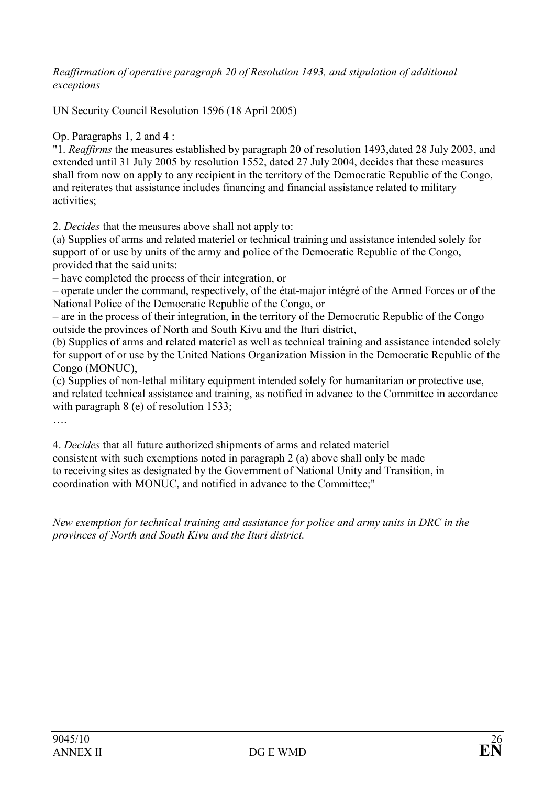### Reaffirmation of operative paragraph 20 of Resolution 1493, and stipulation of additional exceptions

### UN Security Council Resolution 1596 (18 April 2005)

Op. Paragraphs 1, 2 and 4 :

"1. Reaffirms the measures established by paragraph 20 of resolution 1493,dated 28 July 2003, and extended until 31 July 2005 by resolution 1552, dated 27 July 2004, decides that these measures shall from now on apply to any recipient in the territory of the Democratic Republic of the Congo, and reiterates that assistance includes financing and financial assistance related to military activities;

2. Decides that the measures above shall not apply to:

(a) Supplies of arms and related materiel or technical training and assistance intended solely for support of or use by units of the army and police of the Democratic Republic of the Congo, provided that the said units:

– have completed the process of their integration, or

– operate under the command, respectively, of the état-major intégré of the Armed Forces or of the National Police of the Democratic Republic of the Congo, or

– are in the process of their integration, in the territory of the Democratic Republic of the Congo outside the provinces of North and South Kivu and the Ituri district,

(b) Supplies of arms and related materiel as well as technical training and assistance intended solely for support of or use by the United Nations Organization Mission in the Democratic Republic of the Congo (MONUC),

(c) Supplies of non-lethal military equipment intended solely for humanitarian or protective use, and related technical assistance and training, as notified in advance to the Committee in accordance with paragraph 8 (e) of resolution 1533;

….

4. Decides that all future authorized shipments of arms and related materiel consistent with such exemptions noted in paragraph 2 (a) above shall only be made to receiving sites as designated by the Government of National Unity and Transition, in coordination with MONUC, and notified in advance to the Committee;"

New exemption for technical training and assistance for police and army units in DRC in the provinces of North and South Kivu and the Ituri district.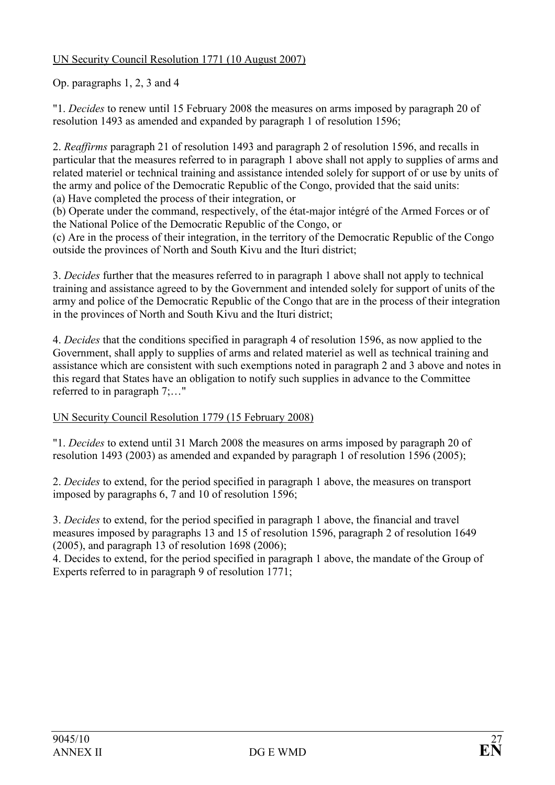## UN Security Council Resolution 1771 (10 August 2007)

Op. paragraphs 1, 2, 3 and 4

"1. Decides to renew until 15 February 2008 the measures on arms imposed by paragraph 20 of resolution 1493 as amended and expanded by paragraph 1 of resolution 1596;

2. Reaffirms paragraph 21 of resolution 1493 and paragraph 2 of resolution 1596, and recalls in particular that the measures referred to in paragraph 1 above shall not apply to supplies of arms and related materiel or technical training and assistance intended solely for support of or use by units of the army and police of the Democratic Republic of the Congo, provided that the said units:

(a) Have completed the process of their integration, or

(b) Operate under the command, respectively, of the état-major intégré of the Armed Forces or of the National Police of the Democratic Republic of the Congo, or

(c) Are in the process of their integration, in the territory of the Democratic Republic of the Congo outside the provinces of North and South Kivu and the Ituri district;

3. Decides further that the measures referred to in paragraph 1 above shall not apply to technical training and assistance agreed to by the Government and intended solely for support of units of the army and police of the Democratic Republic of the Congo that are in the process of their integration in the provinces of North and South Kivu and the Ituri district;

4. Decides that the conditions specified in paragraph 4 of resolution 1596, as now applied to the Government, shall apply to supplies of arms and related materiel as well as technical training and assistance which are consistent with such exemptions noted in paragraph 2 and 3 above and notes in this regard that States have an obligation to notify such supplies in advance to the Committee referred to in paragraph 7;…"

## UN Security Council Resolution 1779 (15 February 2008)

"1. Decides to extend until 31 March 2008 the measures on arms imposed by paragraph 20 of resolution 1493 (2003) as amended and expanded by paragraph 1 of resolution 1596 (2005);

2. Decides to extend, for the period specified in paragraph 1 above, the measures on transport imposed by paragraphs 6, 7 and 10 of resolution 1596;

3. Decides to extend, for the period specified in paragraph 1 above, the financial and travel measures imposed by paragraphs 13 and 15 of resolution 1596, paragraph 2 of resolution 1649 (2005), and paragraph 13 of resolution 1698 (2006);

4. Decides to extend, for the period specified in paragraph 1 above, the mandate of the Group of Experts referred to in paragraph 9 of resolution 1771;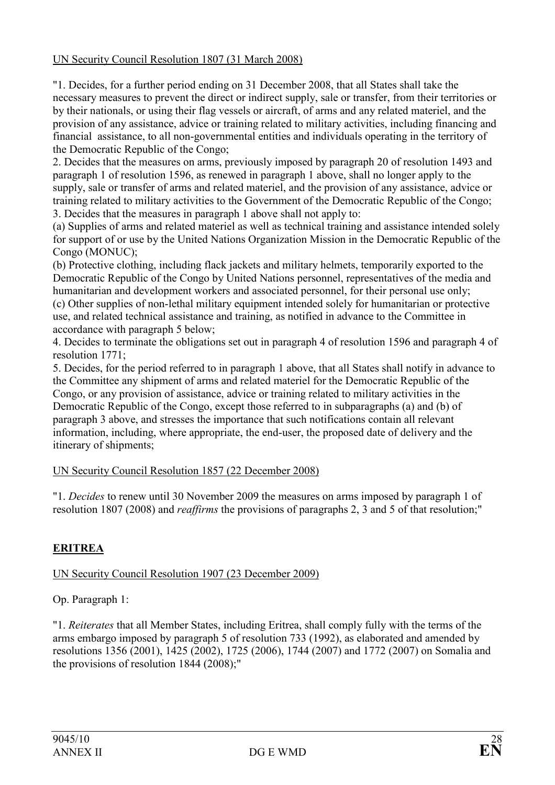### UN Security Council Resolution 1807 (31 March 2008)

"1. Decides, for a further period ending on 31 December 2008, that all States shall take the necessary measures to prevent the direct or indirect supply, sale or transfer, from their territories or by their nationals, or using their flag vessels or aircraft, of arms and any related materiel, and the provision of any assistance, advice or training related to military activities, including financing and financial assistance, to all non-governmental entities and individuals operating in the territory of the Democratic Republic of the Congo;

2. Decides that the measures on arms, previously imposed by paragraph 20 of resolution 1493 and paragraph 1 of resolution 1596, as renewed in paragraph 1 above, shall no longer apply to the supply, sale or transfer of arms and related materiel, and the provision of any assistance, advice or training related to military activities to the Government of the Democratic Republic of the Congo; 3. Decides that the measures in paragraph 1 above shall not apply to:

(a) Supplies of arms and related materiel as well as technical training and assistance intended solely for support of or use by the United Nations Organization Mission in the Democratic Republic of the Congo (MONUC);

(b) Protective clothing, including flack jackets and military helmets, temporarily exported to the Democratic Republic of the Congo by United Nations personnel, representatives of the media and humanitarian and development workers and associated personnel, for their personal use only; (c) Other supplies of non-lethal military equipment intended solely for humanitarian or protective use, and related technical assistance and training, as notified in advance to the Committee in accordance with paragraph 5 below;

4. Decides to terminate the obligations set out in paragraph 4 of resolution 1596 and paragraph 4 of resolution 1771;

5. Decides, for the period referred to in paragraph 1 above, that all States shall notify in advance to the Committee any shipment of arms and related materiel for the Democratic Republic of the Congo, or any provision of assistance, advice or training related to military activities in the Democratic Republic of the Congo, except those referred to in subparagraphs (a) and (b) of paragraph 3 above, and stresses the importance that such notifications contain all relevant information, including, where appropriate, the end-user, the proposed date of delivery and the itinerary of shipments;

### UN Security Council Resolution 1857 (22 December 2008)

"1. Decides to renew until 30 November 2009 the measures on arms imposed by paragraph 1 of resolution 1807 (2008) and reaffirms the provisions of paragraphs 2, 3 and 5 of that resolution;"

## ERITREA

UN Security Council Resolution 1907 (23 December 2009)

Op. Paragraph 1:

"1. Reiterates that all Member States, including Eritrea, shall comply fully with the terms of the arms embargo imposed by paragraph 5 of resolution 733 (1992), as elaborated and amended by resolutions 1356 (2001), 1425 (2002), 1725 (2006), 1744 (2007) and 1772 (2007) on Somalia and the provisions of resolution 1844 (2008);"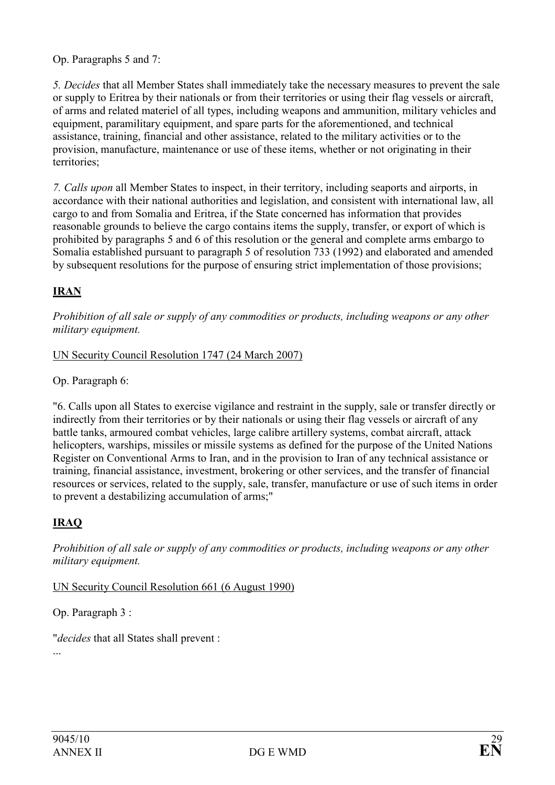Op. Paragraphs 5 and 7:

5. Decides that all Member States shall immediately take the necessary measures to prevent the sale or supply to Eritrea by their nationals or from their territories or using their flag vessels or aircraft, of arms and related materiel of all types, including weapons and ammunition, military vehicles and equipment, paramilitary equipment, and spare parts for the aforementioned, and technical assistance, training, financial and other assistance, related to the military activities or to the provision, manufacture, maintenance or use of these items, whether or not originating in their territories;

7. Calls upon all Member States to inspect, in their territory, including seaports and airports, in accordance with their national authorities and legislation, and consistent with international law, all cargo to and from Somalia and Eritrea, if the State concerned has information that provides reasonable grounds to believe the cargo contains items the supply, transfer, or export of which is prohibited by paragraphs 5 and 6 of this resolution or the general and complete arms embargo to Somalia established pursuant to paragraph 5 of resolution 733 (1992) and elaborated and amended by subsequent resolutions for the purpose of ensuring strict implementation of those provisions;

## IRAN

Prohibition of all sale or supply of any commodities or products, including weapons or any other military equipment.

### UN Security Council Resolution 1747 (24 March 2007)

Op. Paragraph 6:

"6. Calls upon all States to exercise vigilance and restraint in the supply, sale or transfer directly or indirectly from their territories or by their nationals or using their flag vessels or aircraft of any battle tanks, armoured combat vehicles, large calibre artillery systems, combat aircraft, attack helicopters, warships, missiles or missile systems as defined for the purpose of the United Nations Register on Conventional Arms to Iran, and in the provision to Iran of any technical assistance or training, financial assistance, investment, brokering or other services, and the transfer of financial resources or services, related to the supply, sale, transfer, manufacture or use of such items in order to prevent a destabilizing accumulation of arms;"

## IRAQ

Prohibition of all sale or supply of any commodities or products, including weapons or any other military equipment.

UN Security Council Resolution 661 (6 August 1990)

Op. Paragraph 3 :

"decides that all States shall prevent :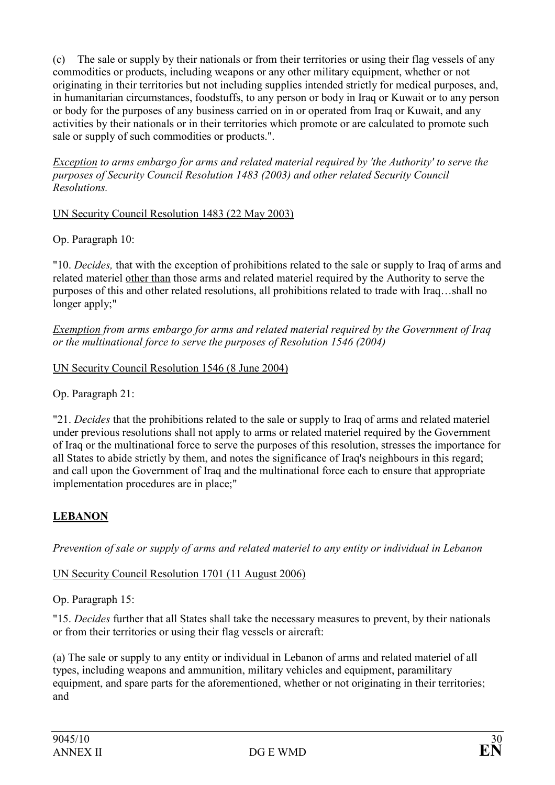(c) The sale or supply by their nationals or from their territories or using their flag vessels of any commodities or products, including weapons or any other military equipment, whether or not originating in their territories but not including supplies intended strictly for medical purposes, and, in humanitarian circumstances, foodstuffs, to any person or body in Iraq or Kuwait or to any person or body for the purposes of any business carried on in or operated from Iraq or Kuwait, and any activities by their nationals or in their territories which promote or are calculated to promote such sale or supply of such commodities or products.".

Exception to arms embargo for arms and related material required by 'the Authority' to serve the purposes of Security Council Resolution 1483 (2003) and other related Security Council Resolutions.

UN Security Council Resolution 1483 (22 May 2003)

Op. Paragraph 10:

"10. Decides, that with the exception of prohibitions related to the sale or supply to Iraq of arms and related materiel other than those arms and related materiel required by the Authority to serve the purposes of this and other related resolutions, all prohibitions related to trade with Iraq…shall no longer apply;"

Exemption from arms embargo for arms and related material required by the Government of Iraq or the multinational force to serve the purposes of Resolution 1546 (2004)

UN Security Council Resolution 1546 (8 June 2004)

Op. Paragraph 21:

"21. Decides that the prohibitions related to the sale or supply to Iraq of arms and related materiel under previous resolutions shall not apply to arms or related materiel required by the Government of Iraq or the multinational force to serve the purposes of this resolution, stresses the importance for all States to abide strictly by them, and notes the significance of Iraq's neighbours in this regard; and call upon the Government of Iraq and the multinational force each to ensure that appropriate implementation procedures are in place;"

## LEBANON

Prevention of sale or supply of arms and related materiel to any entity or individual in Lebanon

### UN Security Council Resolution 1701 (11 August 2006)

Op. Paragraph 15:

"15. Decides further that all States shall take the necessary measures to prevent, by their nationals or from their territories or using their flag vessels or aircraft:

(a) The sale or supply to any entity or individual in Lebanon of arms and related materiel of all types, including weapons and ammunition, military vehicles and equipment, paramilitary equipment, and spare parts for the aforementioned, whether or not originating in their territories; and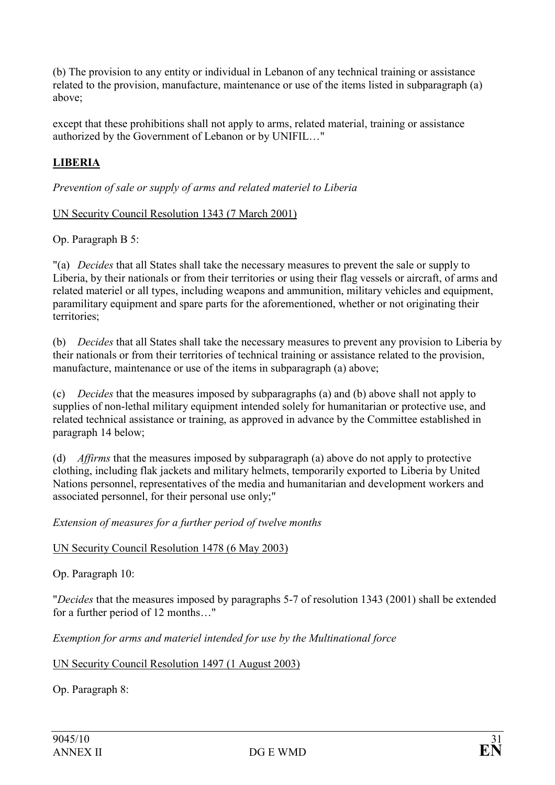(b) The provision to any entity or individual in Lebanon of any technical training or assistance related to the provision, manufacture, maintenance or use of the items listed in subparagraph (a) above;

except that these prohibitions shall not apply to arms, related material, training or assistance authorized by the Government of Lebanon or by UNIFIL…"

# LIBERIA

Prevention of sale or supply of arms and related materiel to Liberia

### UN Security Council Resolution 1343 (7 March 2001)

Op. Paragraph B 5:

"(a) Decides that all States shall take the necessary measures to prevent the sale or supply to Liberia, by their nationals or from their territories or using their flag vessels or aircraft, of arms and related materiel or all types, including weapons and ammunition, military vehicles and equipment, paramilitary equipment and spare parts for the aforementioned, whether or not originating their territories;

(b) Decides that all States shall take the necessary measures to prevent any provision to Liberia by their nationals or from their territories of technical training or assistance related to the provision, manufacture, maintenance or use of the items in subparagraph (a) above;

(c) Decides that the measures imposed by subparagraphs (a) and (b) above shall not apply to supplies of non-lethal military equipment intended solely for humanitarian or protective use, and related technical assistance or training, as approved in advance by the Committee established in paragraph 14 below;

(d) Affirms that the measures imposed by subparagraph (a) above do not apply to protective clothing, including flak jackets and military helmets, temporarily exported to Liberia by United Nations personnel, representatives of the media and humanitarian and development workers and associated personnel, for their personal use only;"

Extension of measures for a further period of twelve months

### UN Security Council Resolution 1478 (6 May 2003)

Op. Paragraph 10:

"Decides that the measures imposed by paragraphs 5-7 of resolution 1343 (2001) shall be extended for a further period of 12 months…"

Exemption for arms and materiel intended for use by the Multinational force

UN Security Council Resolution 1497 (1 August 2003)

Op. Paragraph 8: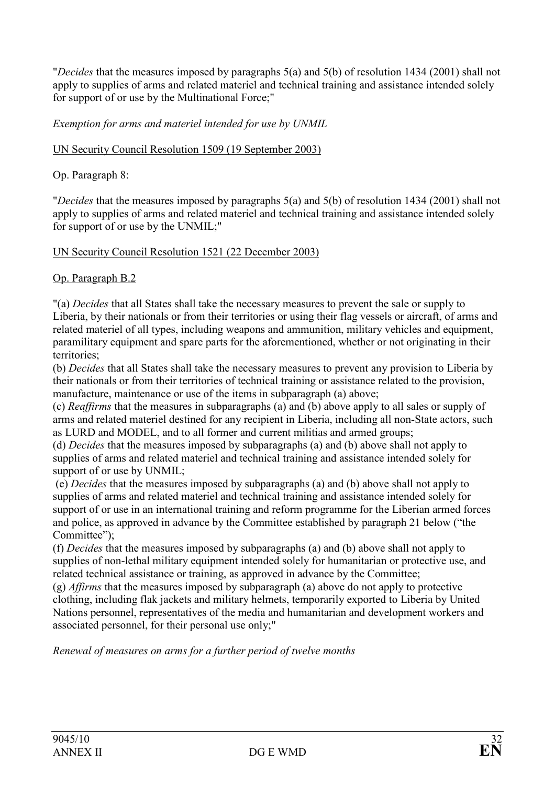"Decides that the measures imposed by paragraphs 5(a) and 5(b) of resolution 1434 (2001) shall not apply to supplies of arms and related materiel and technical training and assistance intended solely for support of or use by the Multinational Force;"

Exemption for arms and materiel intended for use by UNMIL

UN Security Council Resolution 1509 (19 September 2003)

Op. Paragraph 8:

"Decides that the measures imposed by paragraphs 5(a) and 5(b) of resolution 1434 (2001) shall not apply to supplies of arms and related materiel and technical training and assistance intended solely for support of or use by the UNMIL;"

UN Security Council Resolution 1521 (22 December 2003)

Op. Paragraph B.2

"(a) Decides that all States shall take the necessary measures to prevent the sale or supply to Liberia, by their nationals or from their territories or using their flag vessels or aircraft, of arms and related materiel of all types, including weapons and ammunition, military vehicles and equipment, paramilitary equipment and spare parts for the aforementioned, whether or not originating in their territories;

(b) Decides that all States shall take the necessary measures to prevent any provision to Liberia by their nationals or from their territories of technical training or assistance related to the provision, manufacture, maintenance or use of the items in subparagraph (a) above;

(c) Reaffirms that the measures in subparagraphs (a) and (b) above apply to all sales or supply of arms and related materiel destined for any recipient in Liberia, including all non-State actors, such as LURD and MODEL, and to all former and current militias and armed groups;

(d) Decides that the measures imposed by subparagraphs (a) and (b) above shall not apply to supplies of arms and related materiel and technical training and assistance intended solely for support of or use by UNMIL;

 (e) Decides that the measures imposed by subparagraphs (a) and (b) above shall not apply to supplies of arms and related materiel and technical training and assistance intended solely for support of or use in an international training and reform programme for the Liberian armed forces and police, as approved in advance by the Committee established by paragraph 21 below ("the Committee");

(f) Decides that the measures imposed by subparagraphs (a) and (b) above shall not apply to supplies of non-lethal military equipment intended solely for humanitarian or protective use, and related technical assistance or training, as approved in advance by the Committee;

(g) Affirms that the measures imposed by subparagraph (a) above do not apply to protective clothing, including flak jackets and military helmets, temporarily exported to Liberia by United Nations personnel, representatives of the media and humanitarian and development workers and associated personnel, for their personal use only;"

Renewal of measures on arms for a further period of twelve months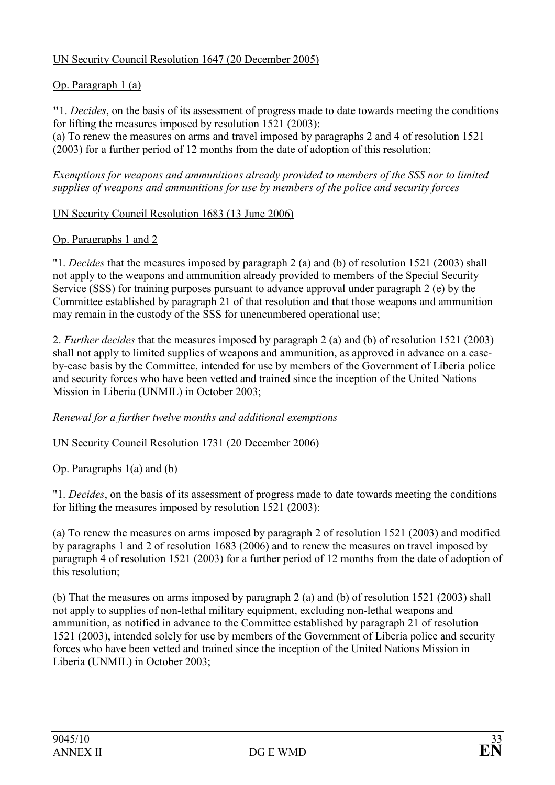## UN Security Council Resolution 1647 (20 December 2005)

# Op. Paragraph 1 (a)

"1. Decides, on the basis of its assessment of progress made to date towards meeting the conditions for lifting the measures imposed by resolution 1521 (2003):

(a) To renew the measures on arms and travel imposed by paragraphs 2 and 4 of resolution 1521 (2003) for a further period of 12 months from the date of adoption of this resolution;

Exemptions for weapons and ammunitions already provided to members of the SSS nor to limited supplies of weapons and ammunitions for use by members of the police and security forces

### UN Security Council Resolution 1683 (13 June 2006)

### Op. Paragraphs 1 and 2

"1. Decides that the measures imposed by paragraph 2 (a) and (b) of resolution 1521 (2003) shall not apply to the weapons and ammunition already provided to members of the Special Security Service (SSS) for training purposes pursuant to advance approval under paragraph 2 (e) by the Committee established by paragraph 21 of that resolution and that those weapons and ammunition may remain in the custody of the SSS for unencumbered operational use;

2. Further decides that the measures imposed by paragraph 2 (a) and (b) of resolution 1521 (2003) shall not apply to limited supplies of weapons and ammunition, as approved in advance on a caseby-case basis by the Committee, intended for use by members of the Government of Liberia police and security forces who have been vetted and trained since the inception of the United Nations Mission in Liberia (UNMIL) in October 2003;

### Renewal for a further twelve months and additional exemptions

### UN Security Council Resolution 1731 (20 December 2006)

### Op. Paragraphs 1(a) and (b)

"1. Decides, on the basis of its assessment of progress made to date towards meeting the conditions for lifting the measures imposed by resolution 1521 (2003):

(a) To renew the measures on arms imposed by paragraph 2 of resolution 1521 (2003) and modified by paragraphs 1 and 2 of resolution 1683 (2006) and to renew the measures on travel imposed by paragraph 4 of resolution 1521 (2003) for a further period of 12 months from the date of adoption of this resolution;

(b) That the measures on arms imposed by paragraph 2 (a) and (b) of resolution 1521 (2003) shall not apply to supplies of non-lethal military equipment, excluding non-lethal weapons and ammunition, as notified in advance to the Committee established by paragraph 21 of resolution 1521 (2003), intended solely for use by members of the Government of Liberia police and security forces who have been vetted and trained since the inception of the United Nations Mission in Liberia (UNMIL) in October 2003;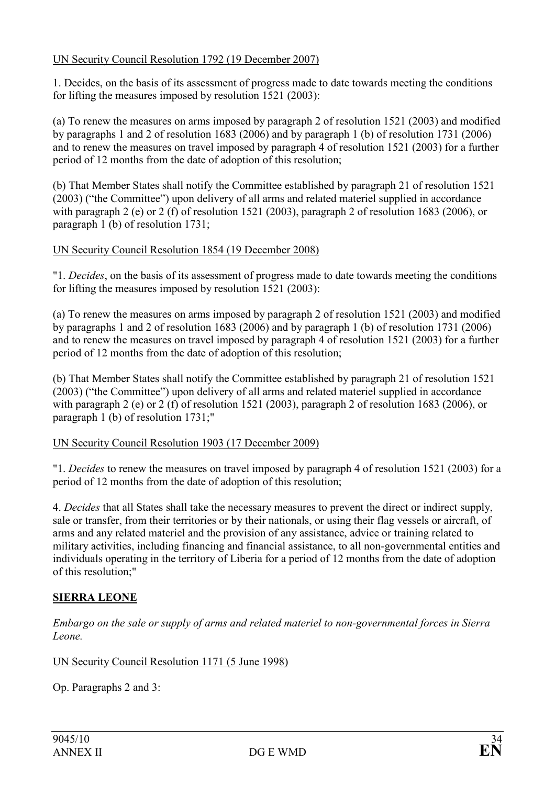### UN Security Council Resolution 1792 (19 December 2007)

1. Decides, on the basis of its assessment of progress made to date towards meeting the conditions for lifting the measures imposed by resolution 1521 (2003):

(a) To renew the measures on arms imposed by paragraph 2 of resolution 1521 (2003) and modified by paragraphs 1 and 2 of resolution 1683 (2006) and by paragraph 1 (b) of resolution 1731 (2006) and to renew the measures on travel imposed by paragraph 4 of resolution 1521 (2003) for a further period of 12 months from the date of adoption of this resolution;

(b) That Member States shall notify the Committee established by paragraph 21 of resolution 1521 (2003) ("the Committee") upon delivery of all arms and related materiel supplied in accordance with paragraph 2 (e) or 2 (f) of resolution 1521 (2003), paragraph 2 of resolution 1683 (2006), or paragraph 1 (b) of resolution 1731;

### UN Security Council Resolution 1854 (19 December 2008)

"1. Decides, on the basis of its assessment of progress made to date towards meeting the conditions for lifting the measures imposed by resolution 1521 (2003):

(a) To renew the measures on arms imposed by paragraph 2 of resolution 1521 (2003) and modified by paragraphs 1 and 2 of resolution 1683 (2006) and by paragraph 1 (b) of resolution 1731 (2006) and to renew the measures on travel imposed by paragraph 4 of resolution 1521 (2003) for a further period of 12 months from the date of adoption of this resolution;

(b) That Member States shall notify the Committee established by paragraph 21 of resolution 1521 (2003) ("the Committee") upon delivery of all arms and related materiel supplied in accordance with paragraph 2 (e) or 2 (f) of resolution 1521 (2003), paragraph 2 of resolution 1683 (2006), or paragraph 1 (b) of resolution 1731;"

### UN Security Council Resolution 1903 (17 December 2009)

"1. Decides to renew the measures on travel imposed by paragraph 4 of resolution 1521 (2003) for a period of 12 months from the date of adoption of this resolution;

4. Decides that all States shall take the necessary measures to prevent the direct or indirect supply, sale or transfer, from their territories or by their nationals, or using their flag vessels or aircraft, of arms and any related materiel and the provision of any assistance, advice or training related to military activities, including financing and financial assistance, to all non-governmental entities and individuals operating in the territory of Liberia for a period of 12 months from the date of adoption of this resolution;"

## SIERRA LEONE

Embargo on the sale or supply of arms and related materiel to non-governmental forces in Sierra Leone.

UN Security Council Resolution 1171 (5 June 1998)

Op. Paragraphs 2 and 3: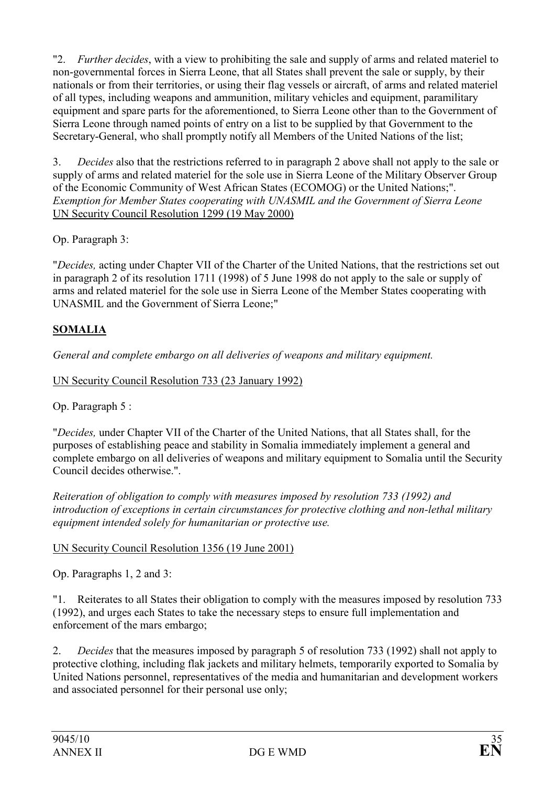"2. Further decides, with a view to prohibiting the sale and supply of arms and related materiel to non-governmental forces in Sierra Leone, that all States shall prevent the sale or supply, by their nationals or from their territories, or using their flag vessels or aircraft, of arms and related materiel of all types, including weapons and ammunition, military vehicles and equipment, paramilitary equipment and spare parts for the aforementioned, to Sierra Leone other than to the Government of Sierra Leone through named points of entry on a list to be supplied by that Government to the Secretary-General, who shall promptly notify all Members of the United Nations of the list;

3. Decides also that the restrictions referred to in paragraph 2 above shall not apply to the sale or supply of arms and related materiel for the sole use in Sierra Leone of the Military Observer Group of the Economic Community of West African States (ECOMOG) or the United Nations;". Exemption for Member States cooperating with UNASMIL and the Government of Sierra Leone UN Security Council Resolution 1299 (19 May 2000)

Op. Paragraph 3:

"Decides, acting under Chapter VII of the Charter of the United Nations, that the restrictions set out in paragraph 2 of its resolution 1711 (1998) of 5 June 1998 do not apply to the sale or supply of arms and related materiel for the sole use in Sierra Leone of the Member States cooperating with UNASMIL and the Government of Sierra Leone;"

## SOMALIA

General and complete embargo on all deliveries of weapons and military equipment.

UN Security Council Resolution 733 (23 January 1992)

Op. Paragraph 5 :

"Decides, under Chapter VII of the Charter of the United Nations, that all States shall, for the purposes of establishing peace and stability in Somalia immediately implement a general and complete embargo on all deliveries of weapons and military equipment to Somalia until the Security Council decides otherwise.".

Reiteration of obligation to comply with measures imposed by resolution 733 (1992) and introduction of exceptions in certain circumstances for protective clothing and non-lethal military equipment intended solely for humanitarian or protective use.

## UN Security Council Resolution 1356 (19 June 2001)

Op. Paragraphs 1, 2 and 3:

"1. Reiterates to all States their obligation to comply with the measures imposed by resolution 733 (1992), and urges each States to take the necessary steps to ensure full implementation and enforcement of the mars embargo;

2. Decides that the measures imposed by paragraph 5 of resolution 733 (1992) shall not apply to protective clothing, including flak jackets and military helmets, temporarily exported to Somalia by United Nations personnel, representatives of the media and humanitarian and development workers and associated personnel for their personal use only;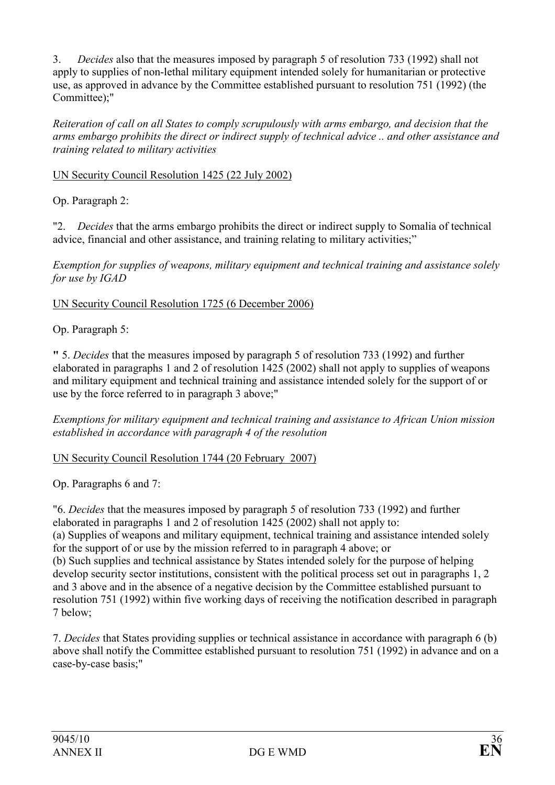3. Decides also that the measures imposed by paragraph 5 of resolution 733 (1992) shall not apply to supplies of non-lethal military equipment intended solely for humanitarian or protective use, as approved in advance by the Committee established pursuant to resolution 751 (1992) (the Committee);"

Reiteration of call on all States to comply scrupulously with arms embargo, and decision that the arms embargo prohibits the direct or indirect supply of technical advice .. and other assistance and training related to military activities

UN Security Council Resolution 1425 (22 July 2002)

Op. Paragraph 2:

"2. Decides that the arms embargo prohibits the direct or indirect supply to Somalia of technical advice, financial and other assistance, and training relating to military activities;"

Exemption for supplies of weapons, military equipment and technical training and assistance solely for use by IGAD

UN Security Council Resolution 1725 (6 December 2006)

Op. Paragraph 5:

" 5. Decides that the measures imposed by paragraph 5 of resolution 733 (1992) and further elaborated in paragraphs 1 and 2 of resolution 1425 (2002) shall not apply to supplies of weapons and military equipment and technical training and assistance intended solely for the support of or use by the force referred to in paragraph 3 above;"

Exemptions for military equipment and technical training and assistance to African Union mission established in accordance with paragraph 4 of the resolution

UN Security Council Resolution 1744 (20 February 2007)

Op. Paragraphs 6 and 7:

"6. Decides that the measures imposed by paragraph 5 of resolution 733 (1992) and further elaborated in paragraphs 1 and 2 of resolution 1425 (2002) shall not apply to: (a) Supplies of weapons and military equipment, technical training and assistance intended solely for the support of or use by the mission referred to in paragraph 4 above; or

(b) Such supplies and technical assistance by States intended solely for the purpose of helping develop security sector institutions, consistent with the political process set out in paragraphs 1, 2 and 3 above and in the absence of a negative decision by the Committee established pursuant to resolution 751 (1992) within five working days of receiving the notification described in paragraph 7 below;

7. Decides that States providing supplies or technical assistance in accordance with paragraph 6 (b) above shall notify the Committee established pursuant to resolution 751 (1992) in advance and on a case-by-case basis;"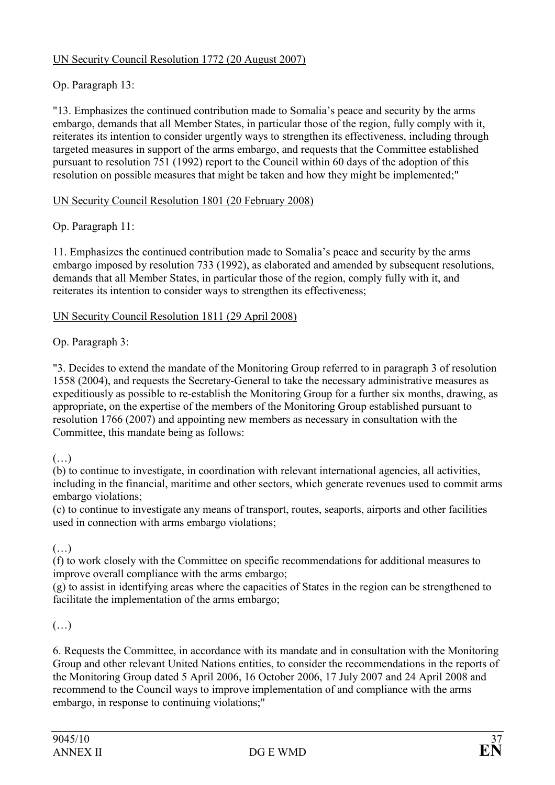## UN Security Council Resolution 1772 (20 August 2007)

# Op. Paragraph 13:

"13. Emphasizes the continued contribution made to Somalia's peace and security by the arms embargo, demands that all Member States, in particular those of the region, fully comply with it, reiterates its intention to consider urgently ways to strengthen its effectiveness, including through targeted measures in support of the arms embargo, and requests that the Committee established pursuant to resolution 751 (1992) report to the Council within 60 days of the adoption of this resolution on possible measures that might be taken and how they might be implemented;"

### UN Security Council Resolution 1801 (20 February 2008)

Op. Paragraph 11:

11. Emphasizes the continued contribution made to Somalia's peace and security by the arms embargo imposed by resolution 733 (1992), as elaborated and amended by subsequent resolutions, demands that all Member States, in particular those of the region, comply fully with it, and reiterates its intention to consider ways to strengthen its effectiveness;

### UN Security Council Resolution 1811 (29 April 2008)

Op. Paragraph 3:

"3. Decides to extend the mandate of the Monitoring Group referred to in paragraph 3 of resolution 1558 (2004), and requests the Secretary-General to take the necessary administrative measures as expeditiously as possible to re-establish the Monitoring Group for a further six months, drawing, as appropriate, on the expertise of the members of the Monitoring Group established pursuant to resolution 1766 (2007) and appointing new members as necessary in consultation with the Committee, this mandate being as follows:

## $($ )

(b) to continue to investigate, in coordination with relevant international agencies, all activities, including in the financial, maritime and other sectors, which generate revenues used to commit arms embargo violations;

(c) to continue to investigate any means of transport, routes, seaports, airports and other facilities used in connection with arms embargo violations;

## (…)

(f) to work closely with the Committee on specific recommendations for additional measures to improve overall compliance with the arms embargo;

(g) to assist in identifying areas where the capacities of States in the region can be strengthened to facilitate the implementation of the arms embargo;

(…)

6. Requests the Committee, in accordance with its mandate and in consultation with the Monitoring Group and other relevant United Nations entities, to consider the recommendations in the reports of the Monitoring Group dated 5 April 2006, 16 October 2006, 17 July 2007 and 24 April 2008 and recommend to the Council ways to improve implementation of and compliance with the arms embargo, in response to continuing violations;"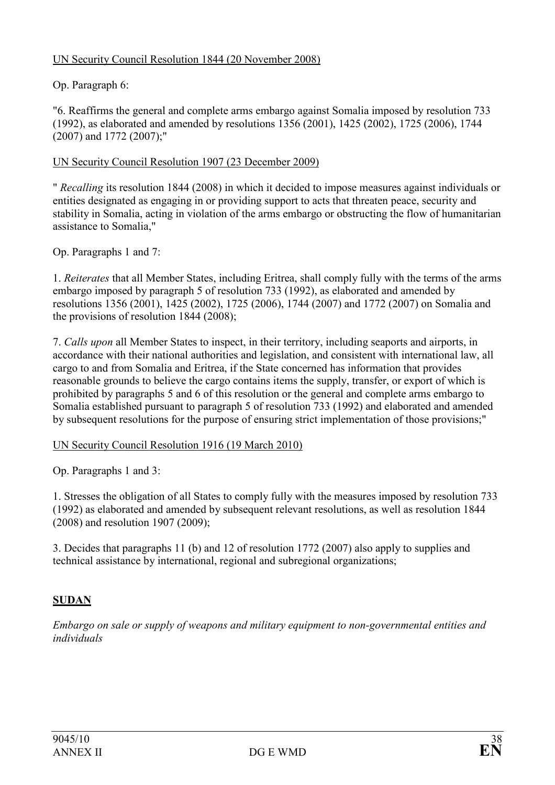## UN Security Council Resolution 1844 (20 November 2008)

## Op. Paragraph 6:

"6. Reaffirms the general and complete arms embargo against Somalia imposed by resolution 733 (1992), as elaborated and amended by resolutions 1356 (2001), 1425 (2002), 1725 (2006), 1744 (2007) and 1772 (2007);"

UN Security Council Resolution 1907 (23 December 2009)

" Recalling its resolution 1844 (2008) in which it decided to impose measures against individuals or entities designated as engaging in or providing support to acts that threaten peace, security and stability in Somalia, acting in violation of the arms embargo or obstructing the flow of humanitarian assistance to Somalia,"

Op. Paragraphs 1 and 7:

1. Reiterates that all Member States, including Eritrea, shall comply fully with the terms of the arms embargo imposed by paragraph 5 of resolution 733 (1992), as elaborated and amended by resolutions 1356 (2001), 1425 (2002), 1725 (2006), 1744 (2007) and 1772 (2007) on Somalia and the provisions of resolution 1844 (2008);

7. Calls upon all Member States to inspect, in their territory, including seaports and airports, in accordance with their national authorities and legislation, and consistent with international law, all cargo to and from Somalia and Eritrea, if the State concerned has information that provides reasonable grounds to believe the cargo contains items the supply, transfer, or export of which is prohibited by paragraphs 5 and 6 of this resolution or the general and complete arms embargo to Somalia established pursuant to paragraph 5 of resolution 733 (1992) and elaborated and amended by subsequent resolutions for the purpose of ensuring strict implementation of those provisions;"

### UN Security Council Resolution 1916 (19 March 2010)

Op. Paragraphs 1 and 3:

1. Stresses the obligation of all States to comply fully with the measures imposed by resolution 733 (1992) as elaborated and amended by subsequent relevant resolutions, as well as resolution 1844 (2008) and resolution 1907 (2009);

3. Decides that paragraphs 11 (b) and 12 of resolution 1772 (2007) also apply to supplies and technical assistance by international, regional and subregional organizations;

## SUDAN

Embargo on sale or supply of weapons and military equipment to non-governmental entities and individuals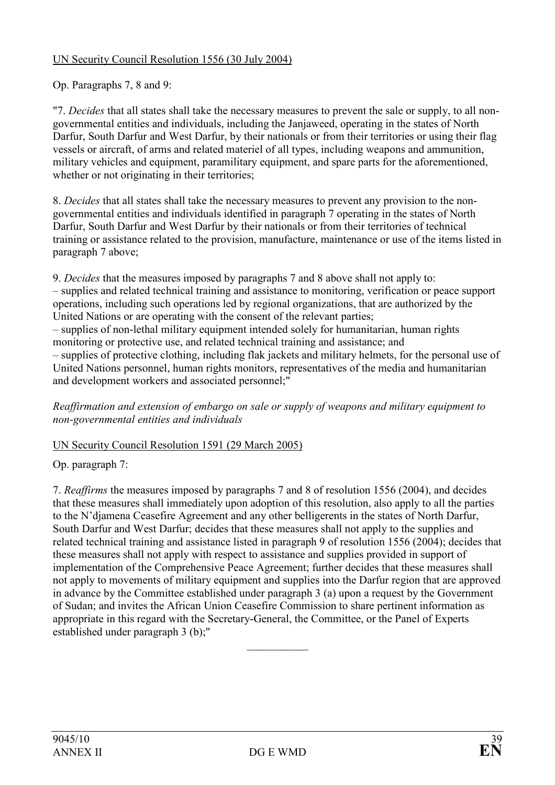## UN Security Council Resolution 1556 (30 July 2004)

Op. Paragraphs 7, 8 and 9:

"7. Decides that all states shall take the necessary measures to prevent the sale or supply, to all nongovernmental entities and individuals, including the Janjaweed, operating in the states of North Darfur, South Darfur and West Darfur, by their nationals or from their territories or using their flag vessels or aircraft, of arms and related materiel of all types, including weapons and ammunition, military vehicles and equipment, paramilitary equipment, and spare parts for the aforementioned, whether or not originating in their territories;

8. Decides that all states shall take the necessary measures to prevent any provision to the nongovernmental entities and individuals identified in paragraph 7 operating in the states of North Darfur, South Darfur and West Darfur by their nationals or from their territories of technical training or assistance related to the provision, manufacture, maintenance or use of the items listed in paragraph 7 above;

9. Decides that the measures imposed by paragraphs 7 and 8 above shall not apply to: – supplies and related technical training and assistance to monitoring, verification or peace support operations, including such operations led by regional organizations, that are authorized by the United Nations or are operating with the consent of the relevant parties;

– supplies of non-lethal military equipment intended solely for humanitarian, human rights monitoring or protective use, and related technical training and assistance; and

– supplies of protective clothing, including flak jackets and military helmets, for the personal use of United Nations personnel, human rights monitors, representatives of the media and humanitarian and development workers and associated personnel;"

Reaffirmation and extension of embargo on sale or supply of weapons and military equipment to non-governmental entities and individuals

## UN Security Council Resolution 1591 (29 March 2005)

Op. paragraph 7:

7. Reaffirms the measures imposed by paragraphs 7 and 8 of resolution 1556 (2004), and decides that these measures shall immediately upon adoption of this resolution, also apply to all the parties to the N'djamena Ceasefire Agreement and any other belligerents in the states of North Darfur, South Darfur and West Darfur; decides that these measures shall not apply to the supplies and related technical training and assistance listed in paragraph 9 of resolution 1556 (2004); decides that these measures shall not apply with respect to assistance and supplies provided in support of implementation of the Comprehensive Peace Agreement; further decides that these measures shall not apply to movements of military equipment and supplies into the Darfur region that are approved in advance by the Committee established under paragraph 3 (a) upon a request by the Government of Sudan; and invites the African Union Ceasefire Commission to share pertinent information as appropriate in this regard with the Secretary-General, the Committee, or the Panel of Experts established under paragraph 3 (b);"

 $\frac{1}{2}$  ,  $\frac{1}{2}$  ,  $\frac{1}{2}$  ,  $\frac{1}{2}$  ,  $\frac{1}{2}$  ,  $\frac{1}{2}$